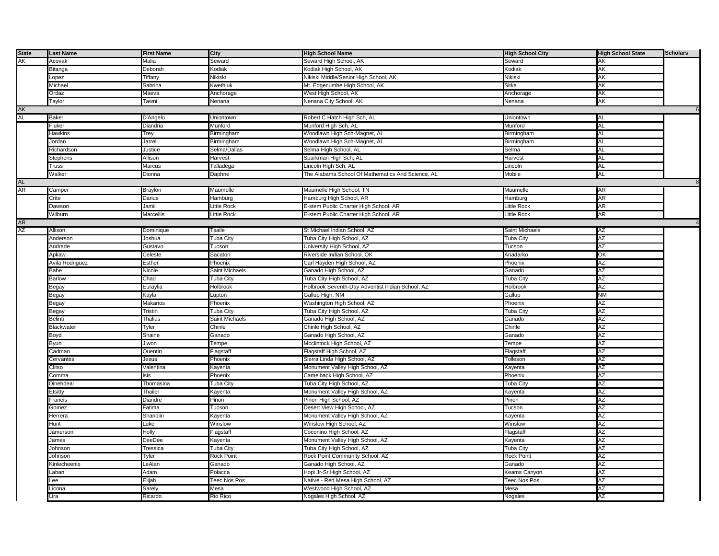| <b>State</b> | Last Name           | <b>First Name</b> | City                | <b>High School Name</b>                           | <b>High School City</b> | <b>High School State</b> | <b>Scholars</b> |
|--------------|---------------------|-------------------|---------------------|---------------------------------------------------|-------------------------|--------------------------|-----------------|
| AΚ           | Acovak              | Malia             | Seward              | Seward High School, AK                            | Seward                  | AK                       |                 |
|              | <b>Bitanga</b>      | Deborah           | Kodiak              | Kodiak High School, AK                            | Kodiak                  | АK                       |                 |
|              | opez.               | Tiffany           | Nikiski             | Nikiski Middle/Senior High School, AK             | Nikiski                 | AK                       |                 |
|              | <b>Aichael</b>      | Sabrina           | <b>Kwethluk</b>     | Mt. Edgecumbe High School, AK                     | Sitka                   | AK                       |                 |
|              | Ordaz               | Maeva             | Anchorage           | West High School, AK                              | Anchorage               | АK                       |                 |
|              |                     |                   |                     |                                                   |                         |                          |                 |
|              | Taylor              | Tawni             | Nenana              | Nenana City School, AK                            | Nenana                  | AK                       |                 |
| AK           |                     |                   |                     |                                                   |                         |                          |                 |
| AL           | <b>Baker</b>        | D'Angelo          | Uniontown           | Robert C Hatch High Sch, AL                       | Uniontown               | AL                       |                 |
|              | Fluker              | Diandria          | Munford             | Munford High Sch, AL                              | Munford                 | AL                       |                 |
|              | Hawkins             | Trey              | Birmingham          | Woodlawn High Sch-Magnet, AL                      | Birmingham              | AL                       |                 |
|              | Jordan              | Jarrell           | Birmingham          | Woodlawn High Sch-Magnet, AL                      | Birmingham              | AL                       |                 |
|              | Richardson          | Justice           | Selma/Dallas        | Selma High School, AL                             | Selma                   | <b>AL</b>                |                 |
|              | Stephens            | Allison           | Harvest             | Sparkman High Sch, AL                             | Harvest                 | AL                       |                 |
|              | Truss               | Marcus            | Talladega           | Lincoln High Sch, AL                              | Lincoln                 | AL                       |                 |
|              | Walker              | Dionna            | Daphne              | The Alabama School Of Mathematics And Science, AL | Mobile                  | AL                       |                 |
| AL           |                     |                   |                     |                                                   |                         |                          |                 |
| AR           | Camper              | <b>Braylon</b>    | Maumelle            | Maumelle High School, TN                          | Maumelle                | AR                       |                 |
|              | Crite               | Darius            | Hamburg             | Hamburg High School, AR                           | Hamburg                 | AR                       |                 |
|              | Dawson              | Jamil             | Little Rock         | E-stem Public Charter High School, AR             | Little Rock             | AR                       |                 |
|              | Wilburn             | <b>Marcellis</b>  | Little Rock         | E-stem Public Charter High School, AR             | Little Rock             | AR                       |                 |
|              |                     |                   |                     |                                                   |                         |                          | $\overline{4}$  |
| AR<br>AZ     | Allison             |                   | Tsaile              | St Michael Indian School, AZ                      | <b>Saint Michaels</b>   | AZ                       |                 |
|              |                     | Dominique         |                     |                                                   |                         |                          |                 |
|              | Anderson            | Joshua            | <b>Tuba City</b>    | Tuba City High School, AZ                         | Tuba City               | ΑZ                       |                 |
|              | Andrade             | Gustavo           | Tucson              | University High School, AZ                        | Tucson                  | AZ                       |                 |
|              | Apkaw               | Celeste           | Sacaton             | Riverside Indian School, OK                       | Anadarko                | OK                       |                 |
|              | Avila Rodriguez     | Esther            | Phoenix             | Carl Hayden High School, AZ                       | Phoenix                 | ΑZ                       |                 |
|              | Bahe                | Nicole            | Saint Michaels      | Ganado High School, AZ                            | Ganado                  | AZ                       |                 |
|              | <b>Barlow</b>       | Chad              | Tuba City           | Tuba City High School, AZ                         | <b>Tuba City</b>        | AΖ                       |                 |
|              | Begay               | Euraylia          | Holbrook            | Holbrook Seventh-Day Adventist Indian School, AZ  | Holbrook                | AZ                       |                 |
|              | Begay               | Kayla             | upton.              | Gallup High, NM                                   | Gallup                  | <b>NM</b>                |                 |
|              | 3egay               | Makarios          | Phoenix             | Washington High School, AZ                        | Phoenix                 | ΑZ                       |                 |
|              | Begay               | Tristin           | Tuba City           | Tuba City High School, AZ                         | Tuba City               | AZ                       |                 |
|              | <b>Belinti</b>      | Thalius           | Saint Michaels      | Ganado High School, AZ                            | Ganado                  | AZ                       |                 |
|              | Blackwater          | Tyler             | Chinle              | Chinle High School, AZ                            | Chinle                  | AZ                       |                 |
|              | Boyd                | Shaine            | Ganado              | Ganado High School, AZ                            | Ganado                  | AZ                       |                 |
|              | Byun                | Jiwon             | Tempe               | Mcclintock High School, AZ                        | Tempe                   | ΑZ                       |                 |
|              | adman,              | Quentin           | Flagstaff           | Flagstaff High School, AZ                         | Flagstaff               | ΑZ                       |                 |
|              | Cervantes           | Jesus             | Phoenix             | Sierra Linda High School, AZ                      | Tolleson                | AZ                       |                 |
|              | Clitso              | Valentina         | Kayenta             | Monument Valley High School, AZ                   | Kayenta                 | ΑZ                       |                 |
|              |                     |                   |                     |                                                   |                         | AΖ                       |                 |
|              | Comma               | lsis              | Phoenix             | Camelback High School, AZ                         | Phoenix                 |                          |                 |
|              | Dinehdeal           | Thomasina         | Tuba City           | Tuba City High School, AZ                         | Tuba City               | AZ                       |                 |
|              | Etsitty             | Thailer           | <b>Kayenta</b>      | Monument Valley High School, AZ                   | Kayenta                 | AZ                       |                 |
|              | Francis             | Diandre           | Pinon               | Pinon High School, AZ                             | Pinon                   | AΖ                       |                 |
|              | 3omez               | Fatima            | Tucson              | Desert View High School, AZ                       | Tucson                  | AZ                       |                 |
|              | Herrera             | Shandiin          | Kayenta             | Monument Valley High School, AZ                   | Kayenta                 | AZ                       |                 |
|              | <b>Hunt</b>         | Luke              | Winslow             | Winslow High School, AZ                           | Winslow                 | AΖ                       |                 |
|              | Jamerson            | Holly             | Flagstaff           | Coconino High School, AZ                          | Flagstaff               | AZ                       |                 |
|              | lames               | DeeDee            | Kayenta             | Monument Valley High School, AZ                   | Kayenta                 | AZ                       |                 |
|              | lohnson             | Tressica          | Tuba City           | Tuba City High School, AZ                         | <b>Tuba City</b>        | ΑZ                       |                 |
|              | Johnson             | Tyler             | <b>Rock Point</b>   | Rock Point Community School, AZ                   | <b>Rock Point</b>       | AZ                       |                 |
|              | <b>Kinlecheenie</b> | LeAlan            | Ganado              | Ganado High School, AZ                            | Ganado                  | AZ                       |                 |
|              | .aban               | Adam              | Polacca             | Hopi Jr-Sr High School, AZ                        | Keams Canyon            | ΑZ                       |                 |
|              | ee.                 | Elijah            | <b>Teec Nos Pos</b> | Native - Red Mesa High School, AZ                 | Teec Nos Pos            | AZ                       |                 |
|              |                     |                   |                     |                                                   |                         |                          |                 |
|              | Licona              | Sarely            | Mesa                | Westwood High School, AZ                          | Mesa                    | AZ                       |                 |
|              | Lira                | Ricardo           | Rio Rico            | Nogales High School, AZ                           | Nogales                 | AZ                       |                 |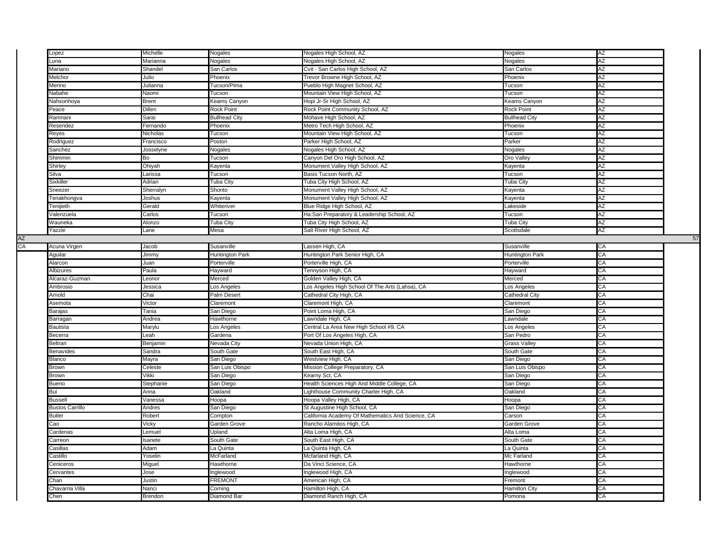|    | Lopez                  | Michelle       | Nogales              | Nogales High School, AZ                           | Nogales              | AΖ |    |
|----|------------------------|----------------|----------------------|---------------------------------------------------|----------------------|----|----|
|    | Luna                   | Marianna       | Nogales              | Nogales High School, AZ                           | Nogales              | AZ |    |
|    | Mariano                | Shandel        | San Carlos           | Cvit - San Carlos High School, AZ                 | San Carlos           | ΑZ |    |
|    | Melchor                | Julio          | Phoenix              | Trevor Browne High School, AZ                     | Phoenix              | ΑZ |    |
|    | Merino                 | Julianna       | Tucson/Pima          | Pueblo High Magnet School, AZ                     | Tucson               | ΑZ |    |
|    | Nabahe                 | Naomi          | Tucson               | Mountain View High School, AZ                     | Tucson               | AZ |    |
|    | Nahsonhoya             | Brent          | Keams Canyon         | Hopi Jr-Sr High School, AZ                        | Keams Canyon         | AΖ |    |
|    | Peace                  | Dillen         | <b>Rock Point</b>    | Rock Point Community School, AZ                   | <b>Rock Point</b>    | ΑZ |    |
|    | Ramnani                | Sarai          | <b>Bullhead City</b> | Mohave High School, AZ                            | <b>Bullhead City</b> | AZ |    |
|    | Resendez               | Fernando       | Phoenix              | Metro Tech High School, AZ                        | Phoenix              | AΖ |    |
|    | Reyes                  | Nicholas       | Tucson               | Mountain View High School, AZ                     | Tucson               | AΖ |    |
|    | Rodriguez              | Francisco      | Poston               | Parker High School, AZ                            | Parker               | AZ |    |
|    | Sanchez                | Josselyne      | Nogales              | Nogales High School, AZ                           | Nogales              | AΖ |    |
|    | Shimmin                | Bo             | Tucson               | Canyon Del Oro High School, AZ                    | Oro Valley           | ΑZ |    |
|    | Shirley                | Ohiyah         | Kayenta              | Monument Valley High School, AZ                   | Kayenta              | AZ |    |
|    | Silva                  | .arissa        | Tucson               | Basis Tucson North, AZ                            | Tucson               | ΑZ |    |
|    | Sixkiller              | Adrian         | Tuba City            | Tuba City High School, AZ                         | Tuba City            | AΖ |    |
|    | Sneezer                | Sherralyn      | Shonto               | Monument Valley High School, AZ                   | Kayenta              | AZ |    |
|    | Tenakhongva            | Joshus         | Kayenta              | Monument Valley High School, AZ                   | Kayenta              | ΑZ |    |
|    | Tenijieth              | Gerald         | Whiteriver           | Blue Ridge High School, AZ                        | Lakeside             | AZ |    |
|    | Valenzuela             | Carlos         | Tucson               | Ha:San Preparatory & Leadership School, AZ        | Tucson               | AZ |    |
|    | Wauneka                | Alonzo         | Tuba City            | Tuba City High School, AZ                         | Tuba City            | ΑZ |    |
|    | Yazzie                 | ane.           | Mesa                 | Salt River High School, AZ                        | Scottsdale           | AZ |    |
| ΑZ |                        |                |                      |                                                   |                      |    | 57 |
| СA | Acuna Virgen           | Jacob          | Susanville           | Lassen High, CA                                   | Susanville           | CA |    |
|    | Aguilar                | Jimmy          | Huntington Park      | Huntington Park Senior High, CA                   | Huntington Park      | CA |    |
|    | Alarcon                | Juan           | Porterville          | Porterville High, CA                              | Porterville          | CA |    |
|    | Albizures              | Paula          | Hayward              | Tennyson High, CA                                 | Hayward              | CA |    |
|    | Alcaraz-Guzman         | _eonor         | Merced               | Golden Valley High, CA                            | Merced               | CA |    |
|    | Ambrosio               | Jessica        | Los Angeles          | Los Angeles High School Of The Arts (Lahsa), CA   | Los Angeles          | CA |    |
|    | Arnold                 | Chai           | Palm Desert          | Cathedral City High, CA                           | Cathedral City       | CA |    |
|    | Asemota                | /ictor         | Claremont            | Claremont High, CA                                | Claremont            | CA |    |
|    | Barajas                | Tania          | San Diego            | Point Loma High, CA                               | San Diego            | CA |    |
|    | Barragan               | Andrea         | Hawthorne            | Lawndale High, CA                                 | Lawndale             | CA |    |
|    | Bautista               | Marylu         | Los Angeles          | Central La Area New High School #9, CA            |                      | CA |    |
|    |                        |                |                      |                                                   | Los Angeles          | CA |    |
|    | Becerra<br>Beltran     | -eah           | Gardena              | Port Of Los Angeles High, CA                      | San Pedro            | CA |    |
|    |                        | Benjamin       | Nevada City          | Nevada Union High, CA                             | <b>Grass Valley</b>  |    |    |
|    | Benavides              | Sandra         | South Gate           | South East High, CA                               | South Gate           | СA |    |
|    | Blanco                 | Mayra          | San Diego            | Westview High, CA                                 | San Diego            | CA |    |
|    | Brown                  | Celeste        | San Luis Obispo      | Mission College Preparatory, CA                   | San Luis Obispo      | CA |    |
|    | Brown                  | /ikki          | San Diego            | Kearny Sct, CA                                    | San Diego            | СA |    |
|    | Bueno                  | Stephanie      | San Diego            | Health Sciences High And Middle College, CA       | San Diego            | CA |    |
|    | Bui                    | Anna           | Oakland              | Lighthouse Community Charter High, CA             | Oakland              | CA |    |
|    | <b>Bussell</b>         | /anessa        | Hoopa                | Hoopa Valley High, CA                             | Hoopa                | СA |    |
|    | <b>Bustos Carrillo</b> | Andres         | San Diego            | St Augustine High School, CA                      | San Diego            | CA |    |
|    | Butler                 | Robert         | Compton              | California Academy Of Mathematics And Science, CA | Carson               | CA |    |
|    | Сао                    | /icky          | Garden Grove         | Rancho Alamitos High, CA                          | Garden Grove         | CA |    |
|    | Cardenas               | emuel.         | Upland               | Alta Loma High, CA                                | Alta Loma            | CA |    |
|    | Carreon                | sanete         | South Gate           | South East High, CA                               | South Gate           | CA |    |
|    | Casillas               | Adam           | La Quinta            | La Quinta High, CA                                | La Quinta            | СA |    |
|    | Castillo               | <b>Yoselin</b> | <b>McFarland</b>     | Mcfarland High, CA                                | Mc Farland           | CA |    |
|    | Ceniceros              | Miguel         | Hawthorne            | Da Vinci Science, CA                              | Hawthorne            | CA |    |
|    | Cervantes              | Jose           | Inglewood            | Inglewood High, CA                                | Inglewood            | СA |    |
|    |                        |                |                      |                                                   |                      |    |    |
|    | Chan                   | Justin         | <b>FREMONT</b>       | American High, CA                                 | Fremont              | CA |    |
|    | Chavarria Villa        | Nanci          | Corning              | Hamilton High, CA                                 | Hamilton City        | CA |    |
|    | Chen                   | Brendon        | Diamond Bar          | Diamond Ranch High, CA                            | Pomona               | СA |    |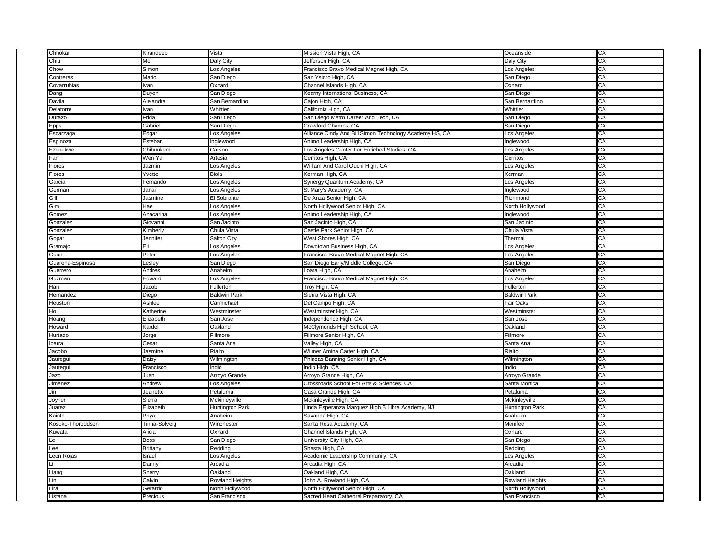| Chhokar           | Kirandeep     | Vista                  | Mission Vista High, CA                                  | Oceanside              | CA |
|-------------------|---------------|------------------------|---------------------------------------------------------|------------------------|----|
| Chiu              | Mei           | Daly City              | Jefferson High, CA                                      | Daly City              | СA |
| Chow              | Simon         | Los Angeles            | Francisco Bravo Medical Magnet High, CA                 | Los Angeles            | СA |
| Contreras         | Mario         | San Diego              | San Ysidro High, CA                                     | San Diego              | CA |
| Covarrubias       | lvan          | Oxnard                 | Channel Islands High, CA                                | Oxnard                 | CА |
| Dang              | Duyen         | San Diego              | Kearny International Business, CA                       | San Diego              | СA |
| Davila            | Alejandra     | San Bernardino         | Cajon High, CA                                          | San Bernardino         | CA |
| Delatorre         | lvan          | Whittier               | California High, CA                                     | Whittier               | CА |
| Durazo            | Frida         | San Diego              | San Diego Metro Career And Tech, CA                     | San Diego              | СA |
| Epps              | Gabriel       | San Diego              | Crawford Champs, CA                                     | San Diego              | CA |
| Escarzaga         | Edgar         | Los Angeles            | Alliance Cindy And Bill Simon Technology Academy HS, CA | Los Angeles            | СA |
| Espinoza          | Esteban       | Inglewood              | Animo Leadership High, CA                               | Inglewood              | СA |
| Ezenekwe          | Chibunkem     | Carson                 | Los Angeles Center For Enriched Studies, CA             | Los Angeles            | CA |
| Fan               | Wen Ya        | Artesia                | Cerritos High, CA                                       | Cerritos               | CА |
| Flores            | Jazmin        | Los Angeles            | William And Carol Ouchi High, CA                        | Los Angeles            | СA |
| Flores            | Yvette        | <b>Biola</b>           | Kerman High, CA                                         | Kerman                 | CA |
| Garcia            | Fernando      | Los Angeles            | Synergy Quantum Academy, CA                             | Los Angeles            | CА |
| German            | Janai         | Los Angeles            | St Mary's Academy, CA                                   | Inglewood              | СA |
| Gill              | Jasmine       | El Sobrante            | De Anza Senior High, CA                                 | Richmond               | CA |
| Gim               | Hae           | Los Angeles            | North Hollywood Senior High, CA                         | North Hollywood        | CА |
| Gomez             | Anacarina     | Los Angeles            | Animo Leadership High, CA                               | Inglewood              | СĀ |
| Gonzalez          | Giovanni      | San Jacinto            | San Jacinto High, CA                                    | San Jacinto            | CA |
| Gonzalez          | Kimberly      | Chula Vista            | Castle Park Senior High, CA                             | Chula Vista            | СA |
| Gopar             | Jennifer      | Salton City            | West Shores High, CA                                    | Thermal                | СA |
| Gramajo           | Eli           | Los Angeles            | Downtown Business High, CA                              | Los Angeles            | CA |
| Guan              | Peter         | Los Angeles            | Francisco Bravo Medical Magnet High, CA                 | Los Angeles            | CА |
| Guarena-Espinosa  | Lesley        | San Diego              | San Diego Early/Middle College, CA                      | San Diego              | СA |
| Guerrero          | Andres        | Anaheim                | Loara High, CA                                          | Anaheim                | CA |
| Guzman            | Edward        | Los Angeles            | Francisco Bravo Medical Magnet High, CA                 | Los Angeles            | CА |
| Han               | Jacob         | Fullertor              | Troy High, CA                                           | Fullerton              | CA |
| Hernandez         | Diego         | <b>Baldwin Park</b>    | Sierra Vista High, CA                                   | <b>Baldwin Park</b>    | CA |
| Heuston           | Ashlee        | Carmichael             | Del Campo High, CA                                      | Fair Oaks              | СA |
| Ho                | Katherine     | Westminster            | Westminster High, CA                                    | Westminster            | СA |
| Hoang             | Elizabeth     | San Jose               | Independence High, CA                                   | San Jose               | СĀ |
| Howard            | Kardel        | Oakland                | McClymonds High School, CA                              | Oakland                | CА |
| Hurtado           | Jorge         | Fillmore               | Fillmore Senior High, CA                                | Fillmore               | СA |
| Ibarra            | Cesar         | Santa Ana              | Valley High, CA                                         | Santa Ana              | CA |
| Jacobo            | Jasmine       | Rialto                 | Wilmer Amina Carter High, CA                            | Rialto                 | CА |
| Jauregu           | Daisy         | Wilmington             | Phineas Banning Senior High, CA                         | Wilmington             | СA |
| Jauregui          | Francisco     | Indio                  | Indio High, CA                                          | Indio                  | CA |
| Jazo              | Juan          | Arroyo Grande          | Arroyo Grande High, CA                                  | Arroyo Grande          | CА |
| Jimenez           | Andrew        | _os Angeles            | Crossroads School For Arts & Sciences, CA               | Santa Monica           | СA |
| Jin               | Jeanette      | Petaluma               | Casa Grande High, CA                                    | Petaluma               | СA |
| Joyner            | Sierra        | Mckinleyville          | Mckinleyville High, CA                                  | Mckinleyville          | CА |
| Juarez            | Elizabeth     | Huntington Park        | Linda Esperanza Marquez High B Libra Academy, NJ        | <b>Huntington Park</b> | СA |
| Kainth            | Priya         | Anaheim                | Savanna High, CA                                        | Anaheim                | СA |
| Kosoko-Thoroddsen | Tinna-Solveig | Winchester             | Santa Rosa Academy, CA                                  | Menifee                | CА |
| Kuwata            | Alicia        | Oxnard                 | Channel Islands High, CA                                | Oxnard                 | СĀ |
| Le                | Boss          | San Diego              | University City High, CA                                | San Diego              | СA |
| Lee               | Brittany      | Redding                | Shasta High, CA                                         | Redding                | CА |
| Leon Rojas        | Israel        | _os Angeles            | Academic Leadership Community, CA                       | Los Angeles            | СĀ |
|                   | Danny         | Arcadia                | Arcadia High, CA                                        | Arcadia                | СA |
| Liang             | Sherry        | Oakland                | Oakland High, CA                                        | Oakland                | CА |
| Lin               | Calvin        | <b>Rowland Heights</b> | John A. Rowland High, CA                                | <b>Rowland Heights</b> | СĀ |
| Lira              | Gerardo       | North Hollywood        | North Hollywood Senior High, CA                         | North Hollywood        | СA |
| Listana           | Precious      | San Francisco          | Sacred Heart Cathedral Preparatory, CA                  | San Francisco          | CА |
|                   |               |                        |                                                         |                        |    |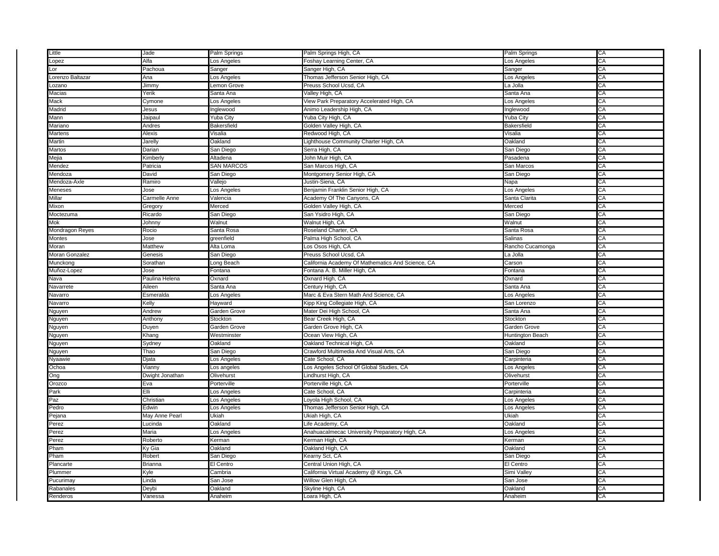| Little           | Jade            | Palm Springs      | Palm Springs High, CA                             | Palm Springs     | CA |
|------------------|-----------------|-------------------|---------------------------------------------------|------------------|----|
| Lopez            | Alfa            | Los Angeles       | Foshay Learning Center, CA                        | Los Angeles      | СA |
| Lor              | Pachoua         | Sanger            | Sanger High, CA                                   | Sanger           | CА |
| Lorenzo Baltazar | Ana             | Los Angeles       | Thomas Jefferson Senior High, CA                  | Los Angeles      | CA |
| Lozano           | Jimmy           | Lemon Grove       | Preuss School Ucsd, CA                            | La Jolla         | CА |
| Macias           | Yerik           | Santa Ana         | Valley High, CA                                   | Santa Ana        | СA |
| Mack             | Cymone          | Los Angeles       | View Park Preparatory Accelerated High, CA        | Los Angeles      | CA |
| Madrid           | Jesus           | Inglewood         | Animo Leadership High, CA                         | Inglewood        | СA |
| Mann             | Jaipaul         | <b>Yuba City</b>  | Yuba City High, CA                                | <b>Yuba City</b> | СA |
| Mariano          | Andres          | Bakersfield       | Golden Valley High, CA                            | Bakersfield      | CA |
| Martens          | Alexis          | Visalia           | Redwood High, CA                                  | Visalia          | СA |
| Martin           | Jarelly         | Oakland           | Lighthouse Community Charter High, CA             | Oakland          | СA |
| Martos           | Darian          | San Diego         | Serra High, CA                                    | San Diego        | CA |
| Mejia            | Kimberly        | Altadena          | John Muir High, CA                                | Pasadena         | СA |
| Mendez           | Patricia        | <b>SAN MARCOS</b> | San Marcos High, CA                               | San Marcos       | CА |
| Mendoza          | David           | San Diego         | Montgomery Senior High, CA                        | San Diego        | CA |
| Mendoza-Axle     | Ramiro          | Vallejo           | Justin-Siena, CA                                  | Napa             | CА |
| Meneses          | Jose            | Los Angeles       | Benjamin Franklin Senior High, CA                 | Los Angeles      | СA |
| Millar           | Carmelle Anne   | Valencia          | Academy Of The Canyons, CA                        | Santa Clarita    | CA |
| Mixon            | Gregory         | Merced            | Golden Valley High, CA                            | Merced           | CА |
| Moctezuma        | Ricardo         | San Diego         | San Ysidro High, CA                               | San Diego        | СA |
| Mok              | Johnny          | Walnut            | Walnut High, CA                                   | Walnut           | СA |
| Mondragon Reyes  | Rocio           | Santa Rosa        | Roseland Charter, CA                              | Santa Rosa       | CА |
| Montes           | Jose            | greenfield        | Palma High School, CA                             | Salinas          | СĀ |
| Moran            | Matthew         | Alta Loma         | Los Osos High, CA                                 | Rancho Cucamonga | СA |
| Moran Gonzalez   | Genesis         | San Diego         | Preuss School Ucsd, CA                            | La Jolla         | СA |
| Munckong         | Sorathan        | Long Beach        | California Academy Of Mathematics And Science, CA | Carson           | СA |
| Muñoz-Lopez      | Jose            | Fontana           | Fontana A. B. Miller High, CA                     | Fontana          | СA |
| Nava             | Paulina Helena  | Oxnard            | Oxnard High, CA                                   | Oxnard           | CА |
| Navarrete        | Aileen          | Santa Ana         | Century High, CA                                  | Santa Ana        | СĀ |
| Navarro          | Esmeralda       | Los Angeles       | Marc & Eva Stern Math And Science, CA             | Los Angeles      | СA |
| Navarro          | Kelly           | Hayward           | Kipp King Collegiate High, CA                     | San Lorenzo      | CА |
| Nguyen           | Andrew          | Garden Grove      | Mater Dei High School, CA                         | Santa Ana        | CA |
| Nguyen           | Anthony         | Stockton          | Bear Creek High, CA                               | Stockton         | СA |
| Nguyen           | Duyen           | Garden Grove      | Garden Grove High, CA                             | Garden Grove     | CА |
| Nguyen           | Khang           | Westminster       | Ocean View High, CA                               | Huntington Beach | CА |
| Nguyen           | Sydney          | Oakland           | Oakland Technical High, CA                        | Oakland          | СA |
| Nguyen           | Thao            | San Diego         | Crawford Multimedia And Visual Arts, CA           | San Diego        | CА |
| Nyaawie          | Djata           | Los Angeles       | Cate School, CA                                   | Carpinteria      | CA |
| Ochoa            | Vianny          | Los angeles       | Los Angeles School Of Global Studies, CA          | Los Angeles      | СA |
| Ong              | Dwight Jonathan | Olivehurst        | Lindhurst High, CA                                | Olivehurst       | CА |
| Orozco           | Eva             | Porterville       | Porterville High, CA                              | Porterville      | CA |
| Park             | Elli            | Los Angeles       | Cate School, CA                                   | Carpinteria      | СA |
| Paz              | Christian       | _os Angeles       | oyola High School, CA                             | Los Angeles      | СA |
| Pedro            | Edwin           | Los Angeles       | Thomas Jefferson Senior High, CA                  | Los Angeles      | CA |
| Pejana           | May Anne Pearl  | Ukiah             | Ukiah High, CA                                    | Ukiah            | СA |
| Perez            | Lucinda         | Oakland           | Life Academy, CA                                  | Oakland          | СA |
| Perez            | Maria           | Los Angeles       | Anahuacalmecac University Preparatory High, CA    | Los Angeles      | CA |
| Perez            | Roberto         | Kerman            | Kerman High, CA                                   | Kerman           | CA |
| Pham             | Ky Gia          | Oakland           | Oakland High, CA                                  | Oakland          | СA |
| Pham             | Robert          | San Diego         | Kearny Sct, CA                                    | San Diego        | СĀ |
| Plancarte        | Brianna         | El Centro         | Central Union High, CA                            | El Centro        | CA |
| Plummer          | Kyle            | Cambria           | California Virtual Academy @ Kings, CA            | Simi Valley      | СA |
|                  |                 |                   |                                                   |                  |    |
| Pucurimay        | Linda           | San Jose          | Willow Glen High, CA                              | San Jose         | СĀ |
| Rabanales        | Deybi           | Oakland           | Skyline High, CA                                  | Oakland          | CA |
| Renderos         | Vanessa         | Anaheim           | Loara High, CA                                    | Anaheim          | СA |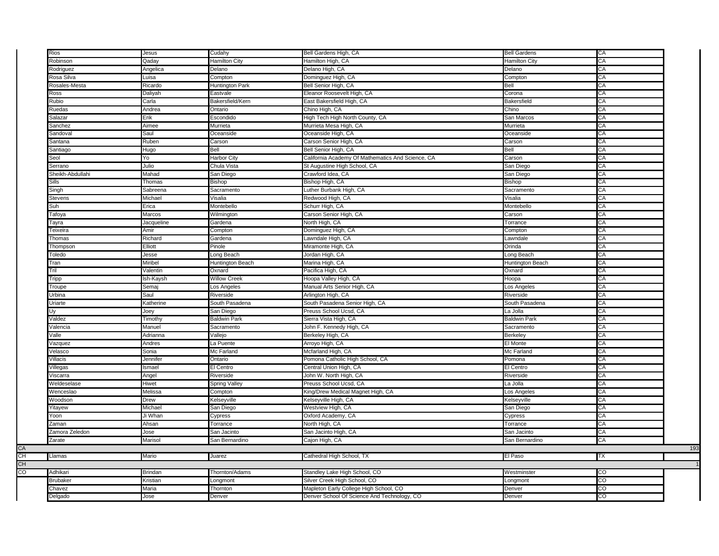| Rios             | Jesus      | Cudahy              | Bell Gardens High, CA                             | <b>Bell Gardens</b>  | CA             |
|------------------|------------|---------------------|---------------------------------------------------|----------------------|----------------|
| Robinson         | Qaday      | Hamilton City       | Hamilton High, CA                                 | <b>Hamilton City</b> | CA             |
| Rodriguez        | Angelica   | Delano              | Delano High, CA                                   | Delano               | CA             |
| Rosa Silva       | Luisa      | Compton             | Dominguez High, CA                                | Compton              | CA             |
| Rosales-Mesta    | Ricardo    | Huntington Park     | Bell Senior High, CA                              | Bell                 | CA             |
| Ross             | Daliyah    | Eastvale            | Eleanor Roosevelt High, CA                        | Corona               | CA             |
| Rubio            | Carla      | Bakersfield/Kern    | East Bakersfield High, CA                         | <b>Bakersfield</b>   | CA             |
| Ruedas           | Andrea     | Ontario             | Chino High, CA                                    | Chino                | CA             |
| Salazar          | Erik       | Escondido           | High Tech High North County, CA                   | San Marcos           | CA             |
| Sanchez          | Aimee      | Murrieta            | Murrieta Mesa High, CA                            | Murrieta             | CA             |
| Sandoval         | Saul       | Oceanside           | Oceanside High, CA                                | Oceanside            | CA             |
| Santana          | Ruben      | Carson              | Carson Senior High, CA                            | Carson               | CA             |
| Santiago         | Hugo       | Bell                | Bell Senior High, CA                              | Bell                 | CA             |
| Seol             | Yo         | Harbor City         | California Academy Of Mathematics And Science, CA | Carson               | СA             |
| Serrano          | Julio      | Chula Vista         | St Augustine High School, CA                      | San Diego            | CA             |
|                  |            |                     |                                                   |                      | CA             |
| Sheikh-Abdullahi | Mahad      | San Diego           | Crawford Idea, CA                                 | San Diego            |                |
| <b>Sills</b>     | Thomas     | Bishop              | Bishop High, CA                                   | Bishop               | CA             |
| Singh            | Sabreena   | Sacramento          | Luther Burbank High, CA                           | Sacramento           | CA             |
| Stevens          | Michael    | Visalia             | Redwood High, CA                                  | Visalia              | CA             |
| Suh              | Erica      | Montebello          | Schurr High, CA                                   | Montebello           | CA             |
| Tafoya           | Marcos     | Wilmington          | Carson Senior High, CA                            | Carson               | CA             |
| Tayra            | Jacqueline | Gardena             | North High, CA                                    | Torrance             | CA             |
| Teixeira         | Amir       | Compton             | Dominguez High, CA                                | Compton              | CA             |
| Thomas           | Richard    | Gardena             | Lawndale High, CA                                 | Lawndale             | CA             |
| Thompson         | Elliott    | Pinole              | Miramonte High, CA                                | Orinda               | CA             |
| Toledo           | Jesse      | ong Beach           | Jordan High, CA                                   | Long Beach           | CA             |
| Tran             | Miribel    | Huntington Beach    | Marina High, CA                                   | Huntington Beach     | CA             |
| Tril             | Valentin   | Oxnard              | Pacifica High, CA                                 | Oxnard               | CA             |
| Tripp            | Ish-Kaysh  | <b>Willow Creek</b> | Hoopa Valley High, CA                             | Hoopa                | CA             |
| Troupe           | Semaj      | Los Angeles         | Manual Arts Senior High, CA                       | Los Angeles          | CA             |
| Urbina           | Saul       | Riverside           | Arlington High, CA                                | Riverside            | CA             |
| Uriarte          | Katherine  | South Pasadena      | South Pasadena Senior High, CA                    | South Pasadena       | CA             |
| Uv               | Joey       | San Diego           | Preuss School Ucsd, CA                            | La Jolla             | CA             |
| Valdez           | Timothy    | Baldwin Park        | Sierra Vista High, CA                             | <b>Baldwin Park</b>  | CA             |
| Valencia         | Manuel     | Sacramento          | John F. Kennedy High, CA                          | Sacramento           | CA             |
| Valle            | Adrianna   | Vallejo             | Berkeley High, CA                                 | <b>Berkeley</b>      | CA             |
| Vazquez          | Andres     | La Puente           | Arroyo High, CA                                   | El Monte             | CA             |
| Velasco          | Sonia      | Mc Farland          | Mcfarland High, CA                                | Mc Farland           | CA             |
| Villacis         | Jennifer   | Ontario             | Pomona Catholic High School, CA                   | Pomona               | CA             |
| Villegas         | Ismael     | El Centro           | Central Union High, CA                            | El Centro            | CA             |
| Viscarra         | Angel      | Riverside           | John W. North High, CA                            | Riverside            | CA             |
| Weldeselase      | Hiwet      | Spring Valley       | Preuss School Ucsd, CA                            | La Jolla             | CA             |
| Wenceslao        | Melissa    | Compton             | King/Drew Medical Magnet High, CA                 | Los Angeles          | CA             |
| Woodson          | Drew       | <b>Kelseyville</b>  | Kelseyville High, CA                              | Kelseyville          | CA             |
| Yitayew          | Michael    | San Diego           | Westview High, CA                                 | San Diego            | CA             |
| Yoon             | Ji Whan    | Cypress             | Oxford Academy, CA                                | Cypress              | CA             |
| Zaman            | Ahsan      | Torrance            | North High, CA                                    | Torrance             | CA             |
|                  |            |                     |                                                   |                      | CA             |
| Zamora Zeledon   | Jose       | San Jacinto         | San Jacinto High, CA                              | San Jacinto          |                |
| Zarate           | Marisol    | San Bernardino      | Cajon High, CA                                    | San Bernardino       | CA             |
|                  |            |                     |                                                   |                      |                |
| Llamas           | Mario      | Juarez              | Cathedral High School, TX                         | El Paso              | TX             |
|                  |            |                     |                                                   |                      |                |
| Adhikari         | Brindan    | Thornton/Adams      | Standley Lake High School, CO                     | Westminster          | S              |
| <b>Brubaker</b>  | Kristian   | Longmont            | Silver Creek High School, CO                      | Longmont             | CO             |
| Chavez           | Maria      | Thornton            | Mapleton Early College High School, CO            | Denver               | CO             |
| Delgado          | Jose       | Denver              | Denver School Of Science And Technology, CO       | Denver               | $\overline{c}$ |
|                  |            |                     |                                                   |                      |                |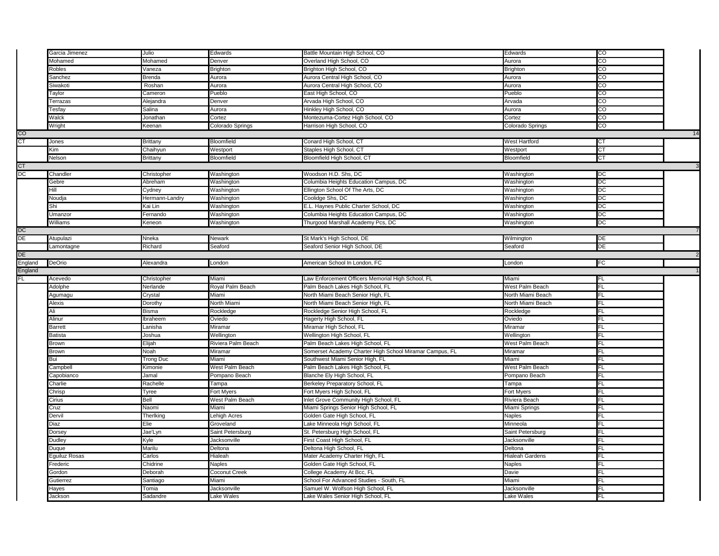|         | Garcia Jimenez | Julio                                                                                                     | Edwards            | Battle Mountain High School, CO                         | Edwards              | CO             |    |
|---------|----------------|-----------------------------------------------------------------------------------------------------------|--------------------|---------------------------------------------------------|----------------------|----------------|----|
|         | Mohamed        | Mohamed                                                                                                   | Denver             | Overland High School, CO                                | Aurora               | $\overline{c}$ |    |
|         | Robles         | /aneza                                                                                                    | <b>Brighton</b>    | Brighton High School, CO                                | Brighton             | $\overline{c}$ |    |
|         | Sanchez        | Brenda                                                                                                    | Aurora             | Aurora Central High School, CO                          | Aurora               | CO             |    |
|         | Siwakoti       | Roshan                                                                                                    | Aurora             | Aurora Central High School, CO                          | Aurora               | $\overline{c}$ |    |
|         | Taylor         | Cameron                                                                                                   | Pueblo             | East High School, CO                                    | Pueblo               | 8              |    |
|         | Terrazas       | Alejandra                                                                                                 | Denver             | Arvada High School, CO                                  | Arvada               | $_{\rm CO}$    |    |
|         | Tesfay         | Salina                                                                                                    | Aurora             | Hinkley High School, CO                                 | Aurora               | $\overline{c}$ |    |
|         | Walck          | Jonathan                                                                                                  | Cortez             | Montezuma-Cortez High School, CO                        | Cortez               | S              |    |
|         | Wright         | Keenan                                                                                                    | Colorado Springs   | Harrison High School, CO                                | Colorado Springs     | CO             |    |
| CO      |                |                                                                                                           |                    |                                                         |                      |                | 14 |
| СT      | Jones          | <b>Brittany</b>                                                                                           | Bloomfield         | Conard High School, CT                                  | <b>West Hartford</b> | СT             |    |
|         | Kim            | Chaihyun                                                                                                  | Westport           | Staples High School, CT                                 | Westport             | CT             |    |
|         | Nelson         | Brittany                                                                                                  | Bloomfield         | Bloomfield High School, CT                              | Bloomfield           | СT             |    |
| CT      |                |                                                                                                           |                    |                                                         |                      |                |    |
| DC      | Chandler       | Christopher                                                                                               | Washington         | Woodson H.D. Shs, DC                                    | Washington           | DC             |    |
|         | Gebre          | Abreham                                                                                                   | Washington         | Columbia Heights Education Campus, DC                   | Washington           | DC             |    |
|         | Hill           | Cydney                                                                                                    | Washington         | Ellington School Of The Arts, DC                        | Washington           | DС             |    |
|         | Noudja         | Hermann-Landry                                                                                            | Washington         | Coolidge Shs, DC                                        | Washington           | DC             |    |
|         | Shi            | Kai Lin                                                                                                   | Washington         | E.L. Haynes Public Charter School, DC                   | Washington           | DC             |    |
|         | Umanzor        | Fernando                                                                                                  | Washington         | Columbia Heights Education Campus, DC                   | Washington           | DC             |    |
|         | Williams       | Keneon                                                                                                    | Washington         | Thurgood Marshall Academy Pcs, DC                       | Washington           | DC             |    |
| DC      |                |                                                                                                           |                    |                                                         |                      |                |    |
| DE      | Atupulazi      | Nneka                                                                                                     | Newark             | St Mark's High School, DE                               | Wilmington           | DE             |    |
|         | Lamontagne     | Richard                                                                                                   | Seaford            | Seaford Senior High School, DE                          | Seaford              | DE             |    |
| DE      |                |                                                                                                           |                    |                                                         |                      |                |    |
| England | DeOrio         | Alexandra                                                                                                 | London             | American School In London, FC                           | London               | FC             |    |
| England |                |                                                                                                           |                    |                                                         |                      |                |    |
| FL.     | Acevedo        | Christopher                                                                                               | Miami              | Law Enforcement Officers Memorial High School, FL       | Miami                | <b>FL</b>      |    |
|         | Adolphe        | Nerlande                                                                                                  | Royal Palm Beach   | Palm Beach Lakes High School, FL                        | West Palm Beach      | FL             |    |
|         | Agumagu        | Crystal                                                                                                   | Miami              | North Miami Beach Senior High, FL                       | North Miami Beach    | FL             |    |
|         | Alexis         | <b>Dorothy</b>                                                                                            | North Miami        | North Miami Beach Senior High, FL                       | North Miami Beach    | <b>FL</b>      |    |
|         | Ali            | Bisma                                                                                                     | Rockledge          | Rockledge Senior High School, FL                        | Rockledge            | FL             |    |
|         | Alinur         | lbraheem                                                                                                  | Oviedo             | Hagerty High School, FL                                 | Oviedo               | FL             |    |
|         | <b>Barrett</b> | anisha.                                                                                                   | Miramar            | Miramar High School, FL                                 | Miramar              | FL             |    |
|         | <b>Batista</b> | Joshua                                                                                                    | Wellington         | Wellington High School, FL                              | Wellington           | <b>FL</b>      |    |
|         | Brown          | Elijah                                                                                                    | Riviera Palm Beach | Palm Beach Lakes High School, FL                        | West Palm Beach      | FL             |    |
|         | Brown          | Noah                                                                                                      | Miramar            | Somerset Academy Charter High School Miramar Campus, FL | Miramar              | FL             |    |
|         | Bui            | <b>Trong Duc</b>                                                                                          | Miami              | Southwest Miami Senior High, FL                         | Miami                | <b>FL</b>      |    |
|         | Campbell       | Kimonie                                                                                                   | West Palm Beach    | Palm Beach Lakes High School, FL                        | West Palm Beach      | FL             |    |
|         | Capobianco     | Jamal                                                                                                     | Pompano Beach      | Blanche Ely High School, FL                             | Pompano Beach        | FL             |    |
|         | Charlie        | Rachelle                                                                                                  | Tampa              | Berkeley Preparatory School, FL                         | Tampa                | FL             |    |
|         | Chrisp         | Tyree                                                                                                     | Fort Myers         | Fort Myers High School, FL                              | Fort Myers           | FL             |    |
|         | Cirius         | Bell                                                                                                      | West Palm Beach    | Inlet Grove Community High School, FL                   | Riviera Beach        | FL             |    |
|         | Cruz           | Naomi                                                                                                     | Miami              | Miami Springs Senior High School, FL                    | Miami Springs        | FL.            |    |
|         | Dervil         | Therlking                                                                                                 | Lehigh Acres       | Golden Gate High School, FL                             | Naples               | FL             |    |
|         | Diaz           | Elie                                                                                                      | Groveland          | Lake Minneola High School, FL                           | Minneola             | FL             |    |
|         | Dorsey         | Jae'Lyn                                                                                                   | Saint Petersburg   | St. Petersburg High School, FL                          | Saint Petersburg     | FL.            |    |
|         | Dudley         | <yle< td=""><td>Jacksonville</td><td>First Coast High School, FL</td><td></td><td>FL</td><td></td></yle<> | Jacksonville       | First Coast High School, FL                             |                      | FL             |    |
|         |                |                                                                                                           |                    |                                                         | Jacksonville         |                |    |
|         | Duque          | Marilu                                                                                                    | Deltona            | Deltona High School, FL                                 | Deltona              | FL             |    |
|         | Eguiluz Rosas  | Carlos                                                                                                    | Hialeah            | Mater Academy Charter High, FL                          | Hialeah Gardens      | FL             |    |
|         | Frederic       | Chidrine                                                                                                  | Naples             | Golden Gate High School, FL                             | Naples               | <b>FL</b>      |    |
|         | Gordon         | Deborah                                                                                                   | Coconut Creek      | College Academy At Bcc, FL                              | Davie                | FL             |    |
|         | Gutierrez      | Santiago                                                                                                  | Miami              | School For Advanced Studies - South, FL                 | Miami                | FL             |    |
|         | Hayes          | Tomia                                                                                                     | Jacksonville       | Samuel W. Wolfson High School, FL                       | Jacksonville         | FL.            |    |
|         | Jackson        | Sadandre                                                                                                  | Lake Wales         | Lake Wales Senior High School, FL                       | Lake Wales           | FL             |    |
|         |                |                                                                                                           |                    |                                                         |                      |                |    |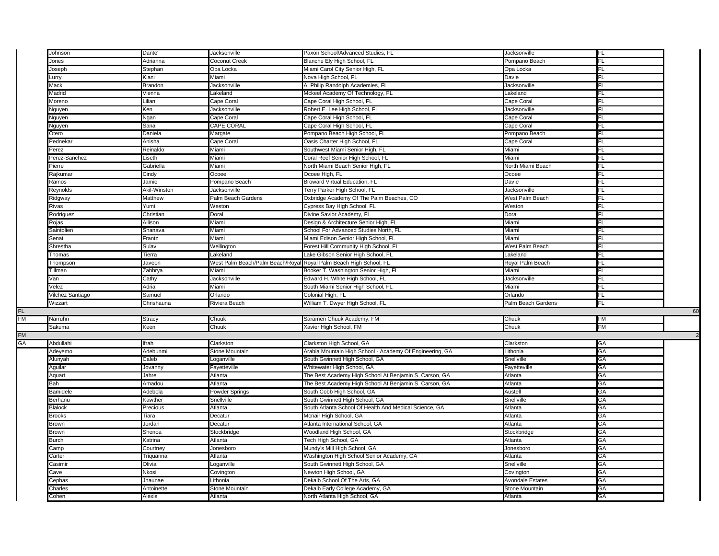|           | Johnson           | Dante'        | Jacksonville                     | Paxon School/Advanced Studies, FL                        | Jacksonville            |           |    |
|-----------|-------------------|---------------|----------------------------------|----------------------------------------------------------|-------------------------|-----------|----|
|           | Jones             | Adrianna      | Coconut Creek                    | Blanche Ely High School, FL                              | Pompano Beach           | FL        |    |
|           | Joseph            | Stephan       | Opa Locka                        | Miami Carol City Senior High, FL                         | Opa Locka               | FL        |    |
|           | Lurry             | Kiani         | Miami                            | Nova High School, FL                                     | Davie                   | FL        |    |
|           | Mack              | Brandon       | Jacksonville                     | A. Philip Randolph Academies, FL                         | Jacksonville            | FL        |    |
|           | Madrid            | Vienna        | Lakeland                         | Mckeel Academy Of Technology, FL                         | Lakeland                | FL        |    |
|           | Moreno            | Lilian        | Cape Coral                       | Cape Coral High School, FL                               | Cape Coral              | FL.       |    |
|           | Nguyen            | Ken           | Jacksonville                     | Robert E. Lee High School, FL                            | Jacksonville            | FL        |    |
|           | Nguyen            | Ngan          | Cape Coral                       | Cape Coral High School, FL                               | Cape Coral              | FL        |    |
|           | Nguyen            | Sana          | CAPE CORAL                       | Cape Coral High School, FL                               | Cape Coral              | FL        |    |
|           | Otero             | Daniela       | Margate                          | Pompano Beach High School, FL                            | Pompano Beach           | FL        |    |
|           | Pednekar          | Anisha        | Cape Coral                       | Oasis Charter High School, FL                            | Cape Coral              | FL        |    |
|           | Perez             | Reinaldo      | Miami                            | Southwest Miami Senior High, FL                          | Miami                   | FL        |    |
|           | Perez-Sanchez     | Liseth        | Miami                            | Coral Reef Senior High School, FL                        | Miami                   | FL        |    |
|           | Pierre            | Gabriella     | Miami                            | North Miami Beach Senior High, FL                        | North Miami Beach       | FL        |    |
|           | Rajkumaı          | Cindy         | Ocoee                            | Ocoee High, FL                                           | Ocoee                   | FL        |    |
|           | Ramos             | Jamie         | Pompano Beach                    | Broward Virtual Education, FL                            | Davie                   | FL        |    |
|           | Reynolds          | Akil-Winston  | Jacksonville                     | Terry Parker High School, FL                             | Jacksonville            | FL        |    |
|           | Ridgway           | Matthew       | Palm Beach Gardens               | Oxbridge Academy Of The Palm Beaches, CO                 | West Palm Beach         | FL        |    |
|           | Rivas             | Yumi          | Weston                           | Cypress Bay High School, FL                              | Weston                  | FL        |    |
|           | Rodriguez         | Christian     | Doral                            | Divine Savior Academy, FL                                | Doral                   | FL        |    |
|           | Rojas             | Allison       | Miami                            | Design & Architecture Senior High, FL                    | Miami                   | FL        |    |
|           | <b>Saintolien</b> | Shanava       | Miami                            | School For Advanced Studies North, FL                    | Miami                   | FL        |    |
|           | Senat             | Frantz        | Miami                            | Miami Edison Senior High School, FL                      | Miami                   | FL        |    |
|           | Shrestha          | Sulav         | Wellington                       | Forest Hill Community High School, FL                    | West Palm Beach         | FL        |    |
|           | Thomas            | Tierra        | Lakeland                         | ake Gibson Senior High School, FL                        | Lakeland                | FL        |    |
|           | Thompson          | Javeon        | West Palm Beach/Palm Beach/Royal | Royal Palm Beach High School, FL                         | Royal Palm Beach        | <b>FL</b> |    |
|           | Tillman           | Zabhrya       | Miami                            | Booker T. Washington Senior High, FL                     | Miami                   | FL        |    |
|           | √an               | Cathy         | Jacksonville                     | Edward H. White High School, FL                          | Jacksonville            | FL        |    |
|           | Velez             | Adria         | Miami                            | South Miami Senior High School, FL                       | Miami                   | FL        |    |
|           | Vilchez Santiago  | Samuel        | Orlando                          | Colonial High, FL                                        | Orlando                 | FL        |    |
|           | Wizzart           | Chrishauna    | Riviera Beach                    | William T. Dwyer High School, FL                         | Palm Beach Gardens      | FL        |    |
| FL.       |                   |               |                                  |                                                          |                         |           | 60 |
| FM        | Narruhn           | <b>Stracy</b> | Chuuk                            | Saramen Chuuk Academy, FM                                | Chuuk                   | <b>FM</b> |    |
|           | Sakuma            | Keen          | Chuuk                            | Xavier High School, FM                                   | Chuuk                   | FM        |    |
| <b>FM</b> |                   |               |                                  |                                                          |                         |           |    |
| GA        | Abdullahi         | Ifrah         | Clarkston                        | Clarkston High School, GA                                | Clarkston               | GA        |    |
|           | Adeyemo           | Adebunmi      | <b>Stone Mountain</b>            | Arabia Mountain High School - Academy Of Engineering, GA | Lithonia                | GA        |    |
|           | Afunyah           | Caleb         | Loganville                       | South Gwinnett High School, GA                           | Snellville              | GA        |    |
|           | Aguilar           | Jovanny       | Fayetteville                     | Whitewater High School, GA                               | Fayetteville            | GA        |    |
|           | Aquart            | Jahre         | Atlanta                          | The Best Academy High School At Benjamin S. Carson, GA   | Atlanta                 | GA        |    |
|           | Bah               | Amadou        | Atlanta                          | The Best Academy High School At Benjamin S. Carson, GA   | Atlanta                 | GA        |    |
|           | Bamidele          | Adebola       | Powder Springs                   | South Cobb High School, GA                               | Austell                 | GA        |    |
|           | Berhanu           | Kawther       | Snellville                       | South Gwinnett High School, GA                           | Snellville              | GA        |    |
|           | <b>Blalock</b>    | Precious      | Atlanta                          | South Atlanta School Of Health And Medical Science, GA   | Atlanta                 | GA        |    |
|           | <b>Brooks</b>     | Tiara         | Decatur                          | Mcnair High School, GA                                   | Atlanta                 | GA        |    |
|           | Brown             | Jordan        | Decatur                          | Atlanta International School, GA                         | Atlanta                 | GA        |    |
|           | Brown             | Shenoa        | Stockbridge                      | Woodland High School, GA                                 | Stockbridge             | GА        |    |
|           | <b>Burch</b>      | Katrina       | Atlanta                          | Tech High School, GA                                     | Atlanta                 | GA        |    |
|           | Camp              | Courtney      | Jonesboro                        | Mundy's Mill High School, GA                             | Jonesboro               | GA        |    |
|           | Carter            | Triquanna     | Atlanta                          | Washington High School Senior Academy, GA                | Atlanta                 | GA        |    |
|           | Casimir           | Olivia        | Loganville                       | South Gwinnett High School, GA                           | Snellville              | GA        |    |
|           | Cave              | Nkosi         | Covington                        | Newton High School, GA                                   | Covington               | GA        |    |
|           | Cephas            | Jhaunae       | Lithonia                         | Dekalb School Of The Arts, GA                            | <b>Avondale Estates</b> | GА        |    |
|           | Charles           | Antoinette    | Stone Mountain                   | Dekalb Early College Academy, GA                         | Stone Mountain          | GA        |    |
|           | Cohen             | Alexis        | Atlanta                          | North Atlanta High School, GA                            | Atlanta                 | GA        |    |
|           |                   |               |                                  |                                                          |                         |           |    |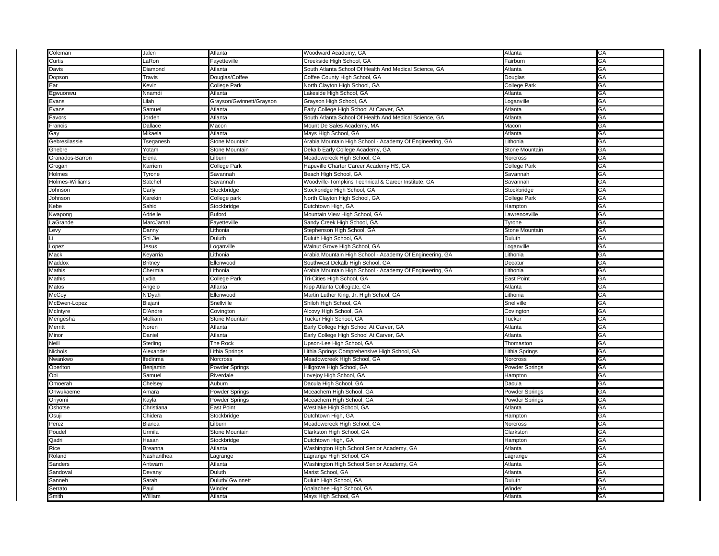| Coleman         | Jalen          | Atlanta                  | Woodward Academy, GA                                     | Atlanta         | GA |
|-----------------|----------------|--------------------------|----------------------------------------------------------|-----------------|----|
| Curtis          | LaRon          | Fayetteville             | Creekside High School, GA                                | Fairburn        | GA |
| Davis           | Diamond        | Atlanta                  | South Atlanta School Of Health And Medical Science, GA   | Atlanta         | GА |
| Dopson          | Travis         | Douglas/Coffee           | Coffee County High School, GA                            | Douglas         | GA |
| Ear             | Kevin          | College Park             | North Clayton High School, GA                            | College Park    | GА |
| Egwuonwu        | Nnamdi         | Atlanta                  | Lakeside High School, GA                                 | Atlanta         | GА |
| Evans           | Lilah          | Grayson/Gwinnett/Grayson | Grayson High School, GA                                  | Loganville      | GA |
| Evans           | Samuel         | Atlanta                  | Early College High School At Carver, GA                  | Atlanta         | GA |
| Favors          | Jorden         | Atlanta                  | South Atlanta School Of Health And Medical Science, GA   | Atlanta         | GA |
| Francis         | Dallace        | Macon                    | Mount De Sales Academy, MA                               | Macon           | GA |
| Gay             | Mikaela        | Atlanta                  | Mays High School, GA                                     | Atlanta         | GА |
| Gebresilassie   | Tseganesh      | <b>Stone Mountain</b>    | Arabia Mountain High School - Academy Of Engineering, GA | Lithonia        | GA |
| Ghebre          | Yotam          | Stone Mountain           | Dekalb Early College Academy, GA                         | Stone Mountain  | GA |
| Granados-Barron | Elena          | Lilburn                  | Meadowcreek High School, GA                              | Norcross        | GА |
| Grogan          | Karriem        | College Park             | Hapeville Charter Career Academy HS, GA                  | College Park    | GA |
| Holmes          | Tyrone         | Savannah                 | Beach High School, GA                                    | Savannah        | GА |
| Holmes-Williams | Satchel        | Savannah                 | Woodville-Tompkins Technical & Career Institute, GA      | Savannah        | GΑ |
| Johnson         | Carly          | Stockbridge              | Stockbridge High School, GA                              | Stockbridge     | GA |
| Johnson         | Karekin        | College park             | North Clayton High School, GA                            | College Park    | GА |
| Kebe            | Sahid          | Stockbridge              | Dutchtown High, GA                                       | Hampton         | GА |
| Kwapong         | Adrielle       | Buford                   | Mountain View High School, GA                            | Lawrenceville   | GА |
| LaGrande        | MarcJamal      | Fayetteville             | Sandy Creek High School, GA                              | Tyrone          | GА |
| Levy            | Danny          | Lithonia                 | Stephenson High School, GA                               | Stone Mountain  | GА |
|                 | Shi Jie        | Duluth                   | Duluth High School, GA                                   | Duluth          | GA |
| Lopez           | Jesus          | Loganville               | Walnut Grove High School, GA                             | Loganville      | GА |
| Mack            | Keyarria       | Lithonia                 | Arabia Mountain High School - Academy Of Engineering, GA | Lithonia        | GΑ |
| Maddox          | <b>Britney</b> | Ellenwood                | Southwest Dekalb High School, GA                         | Decatur         | GA |
| Mathis          | Chermia        | Lithonia                 | Arabia Mountain High School - Academy Of Engineering, GA | Lithonia        | GА |
| Mathis          | Lydia          | College Park             | Tri-Cities High School, GA                               | East Point      | GА |
| Matos           | Angelo         | Atlanta                  | Kipp Atlanta Collegiate, GA                              | Atlanta         | GA |
| McCoy           | N'Dyah         | Ellenwood                | Martin Luther King, Jr. High School, GA                  | Lithonia        | GА |
| McEwen-Lopez    | Biajani        | Snellville               | Shiloh High School, GA                                   | Snellville      | GА |
| McIntyre        | D'Andre        | Covington                | Alcovy High School, GA                                   | Covington       | GA |
| Mengesha        | Melkam         | Stone Mountain           | Tucker High School, GA                                   | Tucker          | GА |
| Merritt         | Noren          | Atlanta                  | Early College High School At Carver, GA                  | Atlanta         | GА |
| Minor           | Daniel         | Atlanta                  | Early College High School At Carver, GA                  | Atlanta         | GA |
| Neill           | Sterling       | The Rock                 | Upson-Lee High School, GA                                | Thomaston       | GA |
| Nichols         | Alexander      | Lithia Springs           | Lithia Springs Comprehensive High School, GA             | Lithia Springs  | GΑ |
| Nwankwo         | lfedinma       | Norcross                 | Meadowcreek High School, GA                              | Norcross        | GA |
| Oberlton        | Benjamin       | Powder Springs           | Hillgrove High School, GA                                | Powder Springs  | GA |
| Obi             | Samuel         | Riverdale                | ovejoy High School, GA                                   | Hampton         | GΑ |
| Omoerah         | Chelsey        | Auburn                   | Dacula High School, GA                                   | Dacula          | GA |
| Onwukaeme       | Amara          | Powder Springs           | Mceachern High School, GA                                | Powder Springs  | GА |
| Oriyomi         | Kayla          | Powder Springs           | Mceachern High School, GA                                | Powder Springs  | GΑ |
| Oshotse         | Christiana     | <b>East Point</b>        | Westlake High School, GA                                 | Atlanta         | GA |
| Osuji           | Chidera        | Stockbridge              | Dutchtown High, GA                                       | Hampton         | GA |
| Perez           | Bianca         | Lilburn                  | Meadowcreek High School, GA                              | <b>Norcross</b> | GΑ |
| Poude           | Urmila         | Stone Mountain           | Clarkston High School, GA                                | Clarkston       | GA |
| Qadri           | Hasan          | Stockbridge              | Dutchtown High, GA                                       | Hampton         | GA |
| Rice            | Breanna        | Atlanta                  | Washington High School Senior Academy, GA                | Atlanta         | GΑ |
| Roland          | Nashanthea     | Lagrange                 | Lagrange High School, GA                                 | Lagrange        | GA |
| Sanders         | Antwarn        | Atlanta                  | Washington High School Senior Academy, GA                | Atlanta         | GA |
| Sandoval        | Devany         | Duluth                   | Marist School, GA                                        | Atlanta         | GΑ |
| Sanneh          | Sarah          | Duluth/ Gwinnett         | Duluth High School, GA                                   | Duluth          | GA |
| Serrato         | Paul           | Winder                   | Apalachee High School, GA                                | Winder          | GA |
| Smith           | William        | Atlanta                  | Mays High School, GA                                     | Atlanta         | GА |
|                 |                |                          |                                                          |                 |    |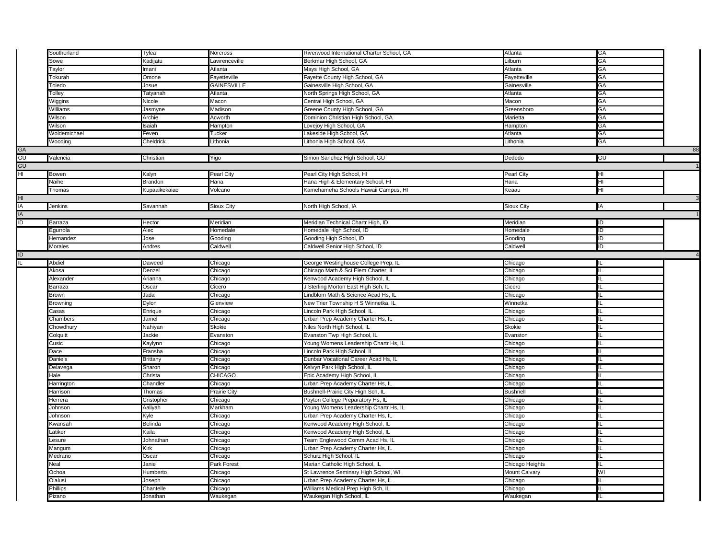|                | Southerland  | Tylea                                                                                                                     | Norcross       | Riverwood International Charter School, GA | Atlanta                    | GA |    |
|----------------|--------------|---------------------------------------------------------------------------------------------------------------------------|----------------|--------------------------------------------|----------------------------|----|----|
|                | Sowe         | <b>Kadijatu</b>                                                                                                           | Lawrenceville  | Berkmar High School, GA                    | Lilburn                    | GA |    |
|                | Taylor       | mani                                                                                                                      | Atlanta        | Mays High School, GA                       | Atlanta                    | GA |    |
|                | Tokurah      | Omone                                                                                                                     | Fayetteville   | Fayette County High School, GA             | Fayetteville               | GA |    |
|                | Toledo       | Josue                                                                                                                     | GAINESVILLE    | Gainesville High School, GA                | Gainesville                | GА |    |
|                | Tolley       | Tatyanah                                                                                                                  | Atlanta        | North Springs High School, GA              | Atlanta                    | GA |    |
|                | Wiggins      | Nicole                                                                                                                    | Macon          | Central High School, GA                    | Macon                      | GA |    |
|                | Williams     | Jasmyne                                                                                                                   | Madison        | Greene County High School, GA              | Greensboro                 | GA |    |
|                | Wilson       | Archie                                                                                                                    | Acworth        | Dominion Christian High School, GA         | Marietta                   | GA |    |
|                | Wilson       | saiah                                                                                                                     | Hampton        |                                            |                            | GA |    |
|                | Woldemichael | Feven                                                                                                                     | Tucker         | Lovejoy High School, GA                    | Hampton<br>Atlanta         | GA |    |
|                |              |                                                                                                                           |                | Lakeside High School, GA                   |                            |    |    |
|                | Wooding      | Cheldrick                                                                                                                 | Lithonia       | Lithonia High School, GA                   | Lithonia                   | GA |    |
| GA<br>GU       |              |                                                                                                                           |                |                                            |                            |    | 88 |
|                | Valencia     | Christian                                                                                                                 | Yigo           | Simon Sanchez High School, GU              | Dededo                     | GU |    |
| GU             |              |                                                                                                                           |                |                                            |                            |    |    |
| HI             | Bowen        | Kalyn                                                                                                                     | Pearl City     | Pearl City High School, HI                 | Pearl City                 | E  |    |
|                | Naihe        | Brandon                                                                                                                   | Hana           | Hana High & Elementary School, HI          | Hana                       | HI |    |
|                | Thomas       | Kupaaikekaiao                                                                                                             | Volcano        | Kamehameha Schools Hawaii Campus, HI       | Keaau                      | Ξ  |    |
| HI             |              |                                                                                                                           |                |                                            |                            |    |    |
| ia<br>Ia<br>Id | Jenkins      | Savannah                                                                                                                  | Sioux City     | North High School, IA                      | Sioux City                 | IA |    |
|                |              |                                                                                                                           |                |                                            |                            |    |    |
|                | Barraza      | Hector                                                                                                                    | Meridian       | Meridian Technical Chartr High, ID         | Meridian                   | ID |    |
|                | Egurrola     | Alec                                                                                                                      | Homedale       | Iomedale High School, ID                   | Homedale                   | ID |    |
|                | Hernandez    | Jose                                                                                                                      | Gooding        | Gooding High School, ID                    | Gooding                    | Đ  |    |
|                | Morales      | Andres                                                                                                                    | Caldwell       | Caldwell Senior High School, ID            | Caldwell                   | ID |    |
| Đ              |              |                                                                                                                           |                |                                            |                            |    |    |
| IL             | Abdiel       | Daweed                                                                                                                    | Chicago        | George Westinghouse College Prep, IL       | Chicago                    |    |    |
|                | Akosa        | Denzel                                                                                                                    | Chicago        | Chicago Math & Sci Elem Charter, IL        | Chicago                    |    |    |
|                | Alexander    | Arianna                                                                                                                   | Chicago        | Kenwood Academy High School, IL            | Chicago                    |    |    |
|                | Barraza      | Oscar                                                                                                                     | Cicero         | J Sterling Morton East High Sch, IL        | Cicero                     |    |    |
|                | Brown        | Jada                                                                                                                      | Chicago        | Lindblom Math & Science Acad Hs, II        | Chicago                    |    |    |
|                | Browning     | Dylon                                                                                                                     | Glenview       | New Trier Township H S Winnetka, IL        | Winnetka                   |    |    |
|                | Casas        | Enrique                                                                                                                   | Chicago        | Lincoln Park High School, IL               | Chicago                    |    |    |
|                | Chambers     | Jamel                                                                                                                     | Chicago        | Urban Prep Academy Charter Hs, IL          | Chicago                    |    |    |
|                | Chowdhury    | Nahiyan                                                                                                                   | Skokie         | Niles North High School, IL                | <b>Skokie</b>              |    |    |
|                | Colquitt     | Jackie                                                                                                                    | Evanston       | Evanston Twp High School, IL               | Evanston                   |    |    |
|                | Cusic        | <aylynn< td=""><td>Chicago</td><td>Young Womens Leadership Chartr Hs, IL</td><td>Chicago</td><td></td><td></td></aylynn<> | Chicago        | Young Womens Leadership Chartr Hs, IL      | Chicago                    |    |    |
|                | Dace         | Fransha                                                                                                                   | Chicago        | Lincoln Park High School, IL               | Chicago                    |    |    |
|                | Daniels      | <b>Brittany</b>                                                                                                           | Chicago        | Dunbar Vocational Career Acad Hs, IL       | Chicago                    |    |    |
|                | Delavega     | Sharon                                                                                                                    | Chicago        | Kelvyn Park High School, IL                | Chicago                    |    |    |
|                | Hale         | Christa                                                                                                                   | <b>CHICAGO</b> | Epic Academy High School, IL               | Chicago                    |    |    |
|                |              | Chandler                                                                                                                  |                |                                            |                            |    |    |
|                | Harrington   |                                                                                                                           | Chicago        | Urban Prep Academy Charter Hs, II          | Chicago<br><b>Bushnell</b> |    |    |
|                | Harrison     | Thomas                                                                                                                    | Prairie City   | Bushnell-Prairie City High Sch, IL         |                            |    |    |
|                | Herrera      | Cristopher                                                                                                                | Chicago        | Payton College Preparatory Hs, IL          | Chicago                    |    |    |
|                | Johnson      | Aaliyah                                                                                                                   | Markham        | Young Womens Leadership Chartr Hs, IL      | Chicago                    |    |    |
|                | Johnson      | Kyle                                                                                                                      | Chicago        | Urban Prep Academy Charter Hs, IL          | Chicago                    |    |    |
|                | Kwansah      | Belinda                                                                                                                   | Chicago        | Kenwood Academy High School, IL            | Chicago                    |    |    |
|                | _atiker      | Kaila                                                                                                                     | Chicago        | Kenwood Academy High School, IL            | Chicago                    |    |    |
|                | _esure       | Johnathan                                                                                                                 | Chicago        | Team Englewood Comm Acad Hs, IL            | Chicago                    |    |    |
|                | Mangum       | Kirk                                                                                                                      | Chicago        | Urban Prep Academy Charter Hs, IL          | Chicago                    |    |    |
|                | Medrano      | Oscar                                                                                                                     | Chicago        | Schurz High School, IL                     | Chicago                    |    |    |
|                | Neal         | Janie                                                                                                                     | Park Forest    | Marian Catholic High School, IL            | Chicago Heights            |    |    |
|                | Ochoa        | Humberto                                                                                                                  | Chicago        | St Lawrence Seminary High School, WI       | Mount Calvary              | WI |    |
|                | Olalusi      | Joseph                                                                                                                    | Chicago        | Urban Prep Academy Charter Hs, IL          | Chicago                    |    |    |
|                | Phillips     | Chantelle                                                                                                                 | Chicago        | Williams Medical Prep High Sch, IL         | Chicago                    |    |    |
|                | Pizano       | Jonathan                                                                                                                  | Waukegan       | Waukegan High School, IL                   | Waukegan                   |    |    |
|                |              |                                                                                                                           |                |                                            |                            |    |    |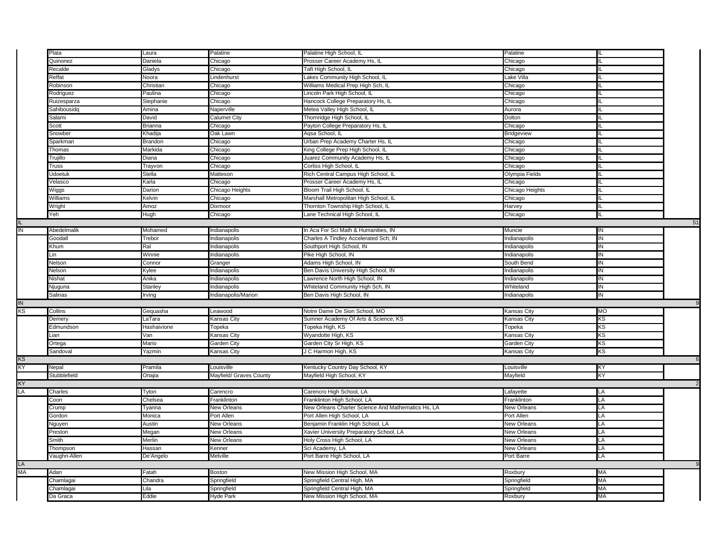|                  | Plata         | Laura       | Palatine                | Palatine High School, IL                           | Palatine        |                |          |
|------------------|---------------|-------------|-------------------------|----------------------------------------------------|-----------------|----------------|----------|
|                  | Quinonez      | Daniela     |                         |                                                    |                 |                |          |
|                  |               |             | Chicago                 | Prosser Career Academy Hs, IL                      | Chicago         | IL.            |          |
|                  | Recalde       | Gladys      | Chicago                 | Taft High School, IL                               | Chicago         |                |          |
|                  | Reffat        | Noora       | Lindenhurst             | Lakes Community High School, IL                    | Lake Villa      | IL.            |          |
|                  | Robinson      | Christian   | Chicago                 | Williams Medical Prep High Sch, IL                 | Chicago         |                |          |
|                  | Rodriguez     | Paulina     | Chicago                 | Lincoln Park High School, IL                       | Chicago         | ΙL             |          |
|                  | Ruizesparza   | Stephanie   | Chicago                 | Hancock College Preparatory Hs, IL                 | Chicago         | IL.            |          |
|                  | Sahibousidq   | Amina       | Naperville              | Metea Valley High School, IL                       | Aurora          | Ш.             |          |
|                  | Salami        | David       | Calumet City            | Thornridge High School, IL                         | Dolton          |                |          |
|                  | Scott         | Brianna     | Chicago                 | Payton College Preparatory Hs, IL                  | Chicago         | Ш              |          |
|                  | Snowber       | Khadija     | Oak Lawn                | Aqsa School, IL                                    | Bridgeview      |                |          |
|                  | Sparkman      | Brandon     | Chicago                 | Urban Prep Academy Charter Hs, IL                  | Chicago         |                |          |
|                  | Thomas        | Markida     | Chicago                 | King College Prep High School, IL                  | Chicago         |                |          |
|                  | Trujillo      | Diana       | Chicago                 | Juarez Community Academy Hs, IL                    | Chicago         | IL             |          |
|                  | Truss         | Trayvon     | Chicago                 | Corliss High School, IL                            | Chicago         |                |          |
|                  | Udoetuk       | Stella      | Matteson                | Rich Central Campus High School, IL                | Olympia Fields  | IL             |          |
|                  | /elasco       | Karla       | Chicago                 | Prosser Career Academy Hs, IL                      | Chicago         | IL.            |          |
|                  | Wiggs         | Darion      | Chicago Heights         | Bloom Trail High School, IL                        | Chicago Heights |                |          |
|                  | Williams      | Kelvin      | Chicago                 | Marshall Metropolitan High School, IL              | Chicago         | IL             |          |
|                  | Wright        | Amoz        | Dixmoor                 | Thornton Township High School, IL                  | Harvey          | IL.            |          |
|                  | Yeh           | Hugh        | Chicago                 | Lane Technical High School, IL                     | Chicago         |                |          |
| IL.              |               |             |                         |                                                    |                 |                | 51       |
| $\overline{z}$   | Abedelmalik   | Mohamed     | Indianapolis            | In Aca For Sci Math & Humanities, IN               | Muncie          | $\overline{N}$ |          |
|                  | Goodall       | Trebor      | Indianapolis            | Charles A Tindley Accelerated Sch, IN              | Indianapolis    | $\overline{N}$ |          |
|                  | Khum          | Ral         | Indianapolis            | Southport High School, IN                          | Indianapolis    | $\overline{N}$ |          |
|                  | .in           | Winnie      | Indianapolis            | Pike High School, IN                               | Indianapolis    | IN             |          |
|                  | Nelson        | Connor      | Granger                 | Adams High School, IN                              | South Bend      | IN             |          |
|                  | Nelson        | Kylee       | Indianapolis            | Ben Davis University High School, IN               | Indianapolis    | $\overline{N}$ |          |
|                  | Nishat        | Anika       | Indianapolis            | Lawrence North High School, IN                     | Indianapolis    | IN             |          |
|                  | Njuguna       | Stanley     | Indianapolis            | Whiteland Community High Sch, IN                   | Whiteland       | $\overline{N}$ |          |
|                  | Salinas       | Irving      | Indianapolis/Marion     | Ben Davis High School, IN                          | Indianapolis    | $\overline{N}$ |          |
|                  |               |             |                         |                                                    |                 |                |          |
| ${\sf IN}$<br>KS | Collins       |             |                         | Notre Dame De Sion School, MO                      |                 | <b>MO</b>      |          |
|                  |               | Gequasha    | Leawood                 |                                                    | Kansas City     | KS             |          |
|                  | Demery        | LaTara      | Kansas City             | Sumner Academy Of Arts & Science, KS               | Kansas City     | ΚS             |          |
|                  | Edmundson     | Hashaivione | Topeka                  | Topeka High, KS                                    | Topeka          |                |          |
|                  | Lian          | Van         | Kansas City             | Wyandotte High, KS                                 | Kansas City     | KS             |          |
|                  | Ortega        | Mario       | Garden City             | Garden City Sr High, KS                            | Garden City     | ΚS             |          |
|                  | Sandoval      | Yazmin      | Kansas City             | J C Harmon High, KS                                | Kansas City     | ΚS             |          |
| KS               |               |             |                         |                                                    |                 |                |          |
| ΚY               | Nepal         | Pramila     | Louisville              | Kentucky Country Day School, KY                    | Louisville      | KY             |          |
|                  | Stubblefield  | Onajia      | Mayfield/ Graves County | Mayfield High School, KY                           | Mayfield        | ΚY             |          |
| KY               |               |             |                         |                                                    |                 |                |          |
| LA               | Charles       | Tyton       | Carencro                | Carencro High School, LA                           | Lafayette       | LA             |          |
|                  | Coon          | Chelsea     | Franklinton             | Franklinton High School, LA                        | Franklinton     | LA             |          |
|                  | Crump         | Tyanna      | New Orleans             | New Orleans Charter Science And Mathematics Hs, LA | New Orleans     | LA             |          |
|                  | <b>Gordon</b> | Monica      | Port Allen              | Port Allen High School, LA                         | Port Allen      | LA             |          |
|                  | Nguyen        | Austin      | New Orleans             | Benjamin Franklin High School, LA                  | New Orleans     | LA             |          |
|                  | Preston       | Megan       | New Orleans             | Xavier University Preparatory School, LA           | New Orleans     | LA             |          |
|                  | Smith         | Merlin      | New Orleans             | Holy Cross High School, LA                         | New Orleans     | LA             |          |
|                  | Thompson      | Hassan      | Kenner                  | Sci Academy, LA                                    | New Orleans     | LA             |          |
|                  | Vaughn-Allen  | De'Angelo   | Melville                | Port Barre High School, LA                         | Port Barre      | LA             |          |
| LA               |               |             |                         |                                                    |                 |                | $\alpha$ |
| MA               | Adan          | Fatah       | Boston                  | New Mission High School, MA                        | Roxbury         | MA             |          |
|                  | Chamlagai     | Chandra     | Springfield             | Springfield Central High, MA                       | Springfield     | MA             |          |
|                  | Chamlagai     | Lila        | Springfield             | Springfield Central High, MA                       | Springfield     | MA             |          |
|                  | Da Graca      | Eddie       | <b>Hyde Park</b>        | New Mission High School, MA                        | Roxbury         | МA             |          |
|                  |               |             |                         |                                                    |                 |                |          |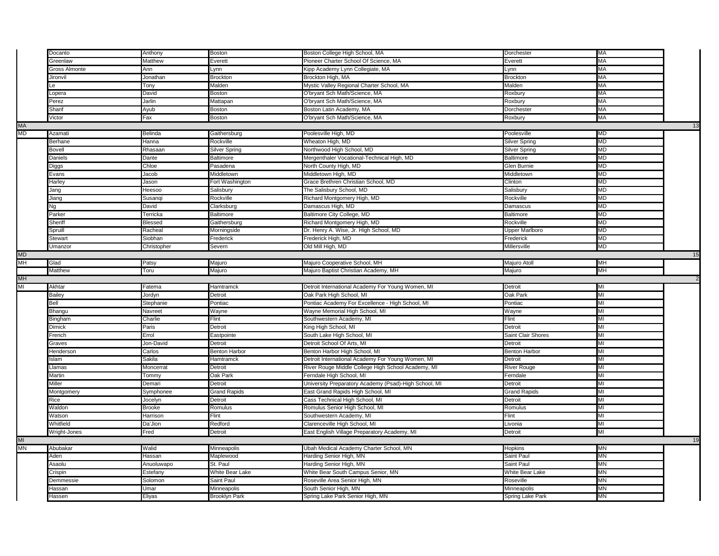|           | Docanto          | Anthony        | <b>Boston</b>                       | Boston College High School, MA                            | Dorchester                      | MA        |    |
|-----------|------------------|----------------|-------------------------------------|-----------------------------------------------------------|---------------------------------|-----------|----|
|           | Greenlaw         | Matthew        | Everett                             | Pioneer Charter School Of Science, MA                     | Everett                         | MA        |    |
|           | Gross Almonte    | Ann            | Lynn                                | Kipp Academy Lynn Collegiate, MA                          | Lynn                            | МA        |    |
|           | Jironvil         | Jonathan       | <b>Brockton</b>                     | Brockton High, MA                                         | <b>Brockton</b>                 | <b>MA</b> |    |
|           |                  | Tony           | Malden                              | Mystic Valley Regional Charter School, MA                 | Malden                          | МA        |    |
|           | Lopera           | David          | Boston                              | O'bryant Sch Math/Science, MA                             | Roxbury                         | MA        |    |
|           | Perez            | Jarlin         | Mattapan                            | O'bryant Sch Math/Science, MA                             | Roxbury                         | MA        |    |
|           | Sharif           | Ayub           | <b>Boston</b>                       | Boston Latin Academy, MA                                  | Dorchester                      | MA        |    |
|           | Victor           | Fax            | <b>Boston</b>                       | O'bryant Sch Math/Science, MA                             | Roxbury                         | МA        |    |
| <b>MA</b> |                  |                |                                     |                                                           |                                 |           | 13 |
| MD        | Azamati          | Belinda        | Gaithersburg                        | Poolesville High, MD                                      | Poolesville                     | MD        |    |
|           | Berhane          | Hanna          | Rockville                           | Wheaton High, MD                                          |                                 | MD        |    |
|           |                  |                |                                     |                                                           | Silver Spring                   | MD        |    |
|           | Bovell           | Rhasaan        | Silver Spring                       | Northwood High School, MD                                 | Silver Spring                   |           |    |
|           | Daniels          | Dante          | Baltimore                           | Mergenthaler Vocational-Technical High, MD                | Baltimore                       | MD        |    |
|           | Diggs            | Chloe          | Pasadena                            | North County High, MD                                     | Glen Burnie                     | MD        |    |
|           | Evans            | Jacob          | Middletown                          | Middletown High, MD                                       | Middletown                      | MD        |    |
|           | Harley           | Jason          | Fort Washington                     | Grace Brethren Christian School, MD                       | Clinton                         | <b>MD</b> |    |
|           | Jang             | Heesoo         | Salisbury                           | The Salisbury School, MD                                  | Salisbury                       | MD        |    |
|           | Jiang            | Susanqi        | Rockville                           | Richard Montgomery High, MD                               | Rockville                       | MD        |    |
|           | Ng               | David          | Clarksburg                          | Damascus High, MD                                         | Damascus                        | <b>MD</b> |    |
|           | Parker           | Terricka       | Baltimore                           | Baltimore City College, MD                                | Baltimore                       | MD        |    |
|           | Sheriff          | Blessed        | Gaithersburg                        | Richard Montgomery High, MD                               | Rockville                       | MD        |    |
|           | Spruill          | Racheal        | Morningside                         | Dr. Henry A. Wise, Jr. High School, MD                    | <b>Upper Marlboro</b>           | MD        |    |
|           | Stewart          | Siobhan        | Frederick                           | Frederick High, MD                                        | Frederick                       | MD        |    |
|           | Umanzor          | Christopher    | Severn                              | Old Mill High, MD                                         | Millersville                    | MD        |    |
| <b>MD</b> |                  |                |                                     |                                                           |                                 |           | 15 |
| МH        | Glad             | Patsy          | Majuro                              | Majuro Cooperative School, MH                             | Majuro Atoll                    | MН        |    |
|           | Matthew          | Toru           | Majuro                              | Majuro Baptist Christian Academy, MH                      | Majuro                          | МH        |    |
| MH        |                  |                |                                     |                                                           |                                 |           |    |
|           |                  |                |                                     |                                                           |                                 |           |    |
|           |                  |                |                                     |                                                           |                                 |           |    |
| MI        | Akhtar           | Fatema         | Hamtramck                           | Detroit International Academy For Young Women, MI         | Detroit                         | MI        |    |
|           | <b>Bailey</b>    | Jordyn         | Detroit                             | Oak Park High School, MI                                  | Oak Park                        | MI        |    |
|           | Bell             | Stephanie      | Pontiac                             | Pontiac Academy For Excellence - High School, MI          | Pontiac                         | MI        |    |
|           | Bhangu           | Navreet        | Wayne                               | Wayne Memorial High School, MI                            | Wayne                           | MI        |    |
|           | Bingham          | Charlie        | Flint                               | Southwestern Academy, MI                                  | Flint                           | MI        |    |
|           | Dimick           | Paris          | Detroit                             | King High School, MI                                      | Detroit                         | MI        |    |
|           | French           | Errol          | Eastpointe                          | South Lake High School, MI                                | Saint Clair Shores              | MI        |    |
|           | Graves           | Jon-David      | Detroit                             | Detroit School Of Arts, MI                                | Detroit                         | MI        |    |
|           | Henderson        | Carlos         | <b>Benton Harbor</b>                | Benton Harbor High School, MI                             | <b>Benton Harbor</b>            | MI        |    |
|           | Islam            | Sakila         | Hamtramck                           | Detroit International Academy For Young Women, MI         | Detroit                         | MI        |    |
|           | <b>Jamas</b>     | Moncerrat      | Detroit                             | River Rouge Middle College High School Academy, MI        | <b>River Rouge</b>              | MI        |    |
|           | Martin           | Tommy          | Oak Park                            | Ferndale High School, MI                                  | Ferndale                        | MI        |    |
|           | Miller           | Demari         | Detroit                             | University Preparatory Academy (Psad)-High School, MI     | Detroit                         | MI        |    |
|           | Montgomery       | Symphonee      | <b>Grand Rapids</b>                 | East Grand Rapids High School, MI                         | <b>Grand Rapids</b>             | MI        |    |
|           | Rice             | Jocelyn        | Detroit                             | Cass Technical High School, MI                            | Detroit                         | MI        |    |
|           | Waldon           | <b>Brooke</b>  | Romulus                             | Romulus Senior High School, MI                            | Romulus                         | MI        |    |
|           | Watson           | Harrison       | Flint                               | Southwestern Academy, MI                                  | Flint                           | MI        |    |
|           | Whitfield        | Da'Jion        | Redford                             | Clarenceville High School, MI                             | Livonia                         | MI        |    |
|           | Wright-Jones     | Fred           | Detroit                             | East English Village Preparatory Academy, MI              | Detroit                         | MI        |    |
| MI        |                  |                |                                     |                                                           |                                 |           | 19 |
| МN        | Abubakar         | Walid          | Minneapolis                         | Ubah Medical Academy Charter School, MN                   | Hopkins                         | ΜN        |    |
|           |                  |                |                                     |                                                           |                                 |           |    |
|           | Aden             | Hassan         | Maplewood                           | Harding Senior High, MN                                   | Saint Paul                      | MN        |    |
|           | Asaolu           | Anuoluwapo     | St. Paul                            | Harding Senior High, MN                                   | Saint Paul                      | MN        |    |
|           | Crispin          | Estefany       | White Bear Lake                     | White Bear South Campus Senior, MN                        | <b>White Bear Lake</b>          | MN        |    |
|           | Demmessie        | Solomon        | Saint Paul                          | Roseville Area Senior High, MN                            | Roseville                       | MN        |    |
|           | Hassan<br>Hassen | Umar<br>Eliyas | Minneapolis<br><b>Brooklyn Park</b> | South Senior High, MN<br>Spring Lake Park Senior High, MN | Minneapolis<br>Spring Lake Park | MN<br>MN  |    |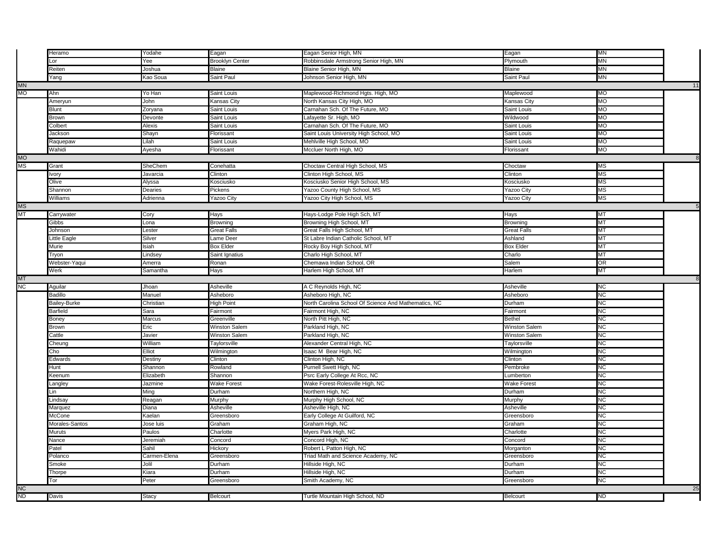|           | leramo                 | Yodahe         | Eagan                  | Eagan Senior High, MN                                | Eagan                | MN                     |    |
|-----------|------------------------|----------------|------------------------|------------------------------------------------------|----------------------|------------------------|----|
|           | $\alpha$               | Yee            | <b>Brooklyn Center</b> | Robbinsdale Armstrong Senior High, MN                | Plymouth             | MN                     |    |
|           | Reiten                 | Joshua         | Blaine                 | Blaine Senior High, MN                               | <b>Blaine</b>        | MN                     |    |
|           | ang                    | Kao Soua       | Saint Paul             | Johnson Senior High, MN                              | Saint Paul           | <b>MN</b>              |    |
| <b>MN</b> |                        |                |                        |                                                      |                      |                        | 11 |
| МO        | Ahn                    | Yo Han         | Saint Louis            | Maplewood-Richmond Hgts. High, MO                    | Maplewood            | <b>MO</b>              |    |
|           | Ameryun                | John           | <b>Kansas City</b>     | North Kansas City High, MO                           | Kansas City          | MO                     |    |
|           | Blunt                  | Zoryana        | Saint Louis            | Carnahan Sch. Of The Future, MO                      | Saint Louis          | <b>MO</b>              |    |
|           | 3rown                  | Devonte        | Saint Louis            | Lafayette Sr. High, MO                               | Wildwood             | <b>MO</b>              |    |
|           | clbert                 | Alexis         | Saint Louis            | Carnahan Sch. Of The Future, MO                      | Saint Louis          | MO                     |    |
|           | Jackson                | Shayn          | Florissant             | Saint Louis University High School, MO               | Saint Louis          | MO                     |    |
|           | Raquepaw               | Lilah          | Saint Louis            | Mehlville High School, MO                            | Saint Louis          | <b>MO</b>              |    |
|           | Wahidi                 | Ayesha         | Florissant             | Mccluer North High, MO                               | Florissant           | MO                     |    |
| MO        |                        |                |                        |                                                      |                      |                        | 8  |
| ΜS        | Grant                  | <b>SheChem</b> | Conehatta              | Choctaw Central High School, MS                      | Choctaw              | <b>MS</b>              |    |
|           | lvory                  | Javarcia       | Clinton                | Clinton High School, MS                              | Clinton              | ΜS                     |    |
|           | Olive                  | Alyssa         | Kosciusko              | Kosciusko Senior High School, MS                     | Kosciusko            | $\overline{\text{MS}}$ |    |
|           | <b>Shannon</b>         | Dearies        | Pickens                | Yazoo County High School, MS                         | Yazoo City           | <b>MS</b>              |    |
|           | Williams               | Adrienna       | Yazoo City             | Yazoo City High School, MS                           | Yazoo City           | ΜS                     |    |
| MS        |                        |                |                        |                                                      |                      |                        |    |
| МT        | Carrywater             | Cory           | Hays                   | Hays-Lodge Pole High Sch, MT                         | Hays                 | МT                     |    |
|           | Gibbs                  | Lona           | Browning               | Browning High School, MT                             | Browning             | МT                     |    |
|           | Johnson                | Lester         | Great Falls            | Great Falls High School, MT                          | <b>Great Falls</b>   | MT                     |    |
|           | Little Eagle           | Silver         | Lame Deer              | St Labre Indian Catholic School, MT                  | Ashland              | МT                     |    |
|           | Murie                  | siah           | <b>Box Elder</b>       | Rocky Boy High School, MT                            | <b>Box Elder</b>     | МT                     |    |
|           |                        | Lindsey        | Saint Ignatius         | Charlo High School, MT                               | Charlo               | MT                     |    |
|           | 'ryon<br>Webster-Yaqui | Amerra         | Ronan                  | Chemawa Indian School, OR                            | Salem                | OR                     |    |
|           | Werk                   | Samantha       | Hays                   | Harlem High School, MT                               | Harlem               | МT                     |    |
|           |                        |                |                        |                                                      |                      |                        |    |
|           |                        |                |                        |                                                      |                      |                        |    |
| МT        |                        |                |                        |                                                      |                      |                        | 8  |
| NC        | Aguilar                | Jhoan          | Asheville              | A C Reynolds High, NC                                | Asheville            | NС                     |    |
|           | Badillo                | Manuel         | Asheboro               | Asheboro High, NC                                    | Asheboro             | NС                     |    |
|           | Bailey-Burke           | Christian      | <b>High Point</b>      | North Carolina School Of Science And Mathematics, NC | Durham               | NC                     |    |
|           | Barfield               | Sara           | Fairmont               | Fairmont High, NC                                    | Fairmont             | NС                     |    |
|           | Boney                  | Marcus         | Greenville             | North Pitt High, NC                                  | <b>Bethel</b>        | <b>NC</b>              |    |
|           | 3rown                  | Eric           | Winston Salem          | Parkland High, NC                                    | Winston Salem        | NС                     |    |
|           | Cattle                 | Javier         | Winston Salem          | Parkland High, NC                                    | <b>Winston Salem</b> | <b>NC</b>              |    |
|           | Cheung                 | William        | Taylorsville           | Alexander Central High, NC                           | Taylorsville         | NC                     |    |
|           | Cho                    | Elliot         | Wilmington             | Isaac M Bear High, NC                                | Wilmington           | <b>NC</b>              |    |
|           | Edwards                | Destiny        | Clinton                | Clinton High, NC                                     | Clinton              | NС                     |    |
|           | -lunt                  | Shannon        | Rowland                | Purnell Swett High, NC                               | Pembroke             | <b>NC</b>              |    |
|           | eenum                  | Elizabeth      | Shannon                | Psrc Early College At Rcc, NC                        | Lumberton            | NС                     |    |
|           | .angley                | Jazmine        | <b>Wake Forest</b>     | Wake Forest-Rolesville High, NC                      | <b>Wake Forest</b>   | <b>NC</b>              |    |
|           | in                     | Ming           | Durham                 | Northern High, NC                                    | Durham               | <b>NC</b>              |    |
|           | indsay                 | Reagan         | Murphy                 | Murphy High School, NC                               | Murphy               | <b>NC</b>              |    |
|           | Marquez                | Diana          | Asheville              | Asheville High, NC                                   | Asheville            | <b>NC</b>              |    |
|           | McCone                 | Kaelan         | Greensboro             | Early College At Guilford, NC                        | Greensboro           | <b>NC</b>              |    |
|           | Morales-Santos         | Jose luis      | Graham                 | Graham High, NC                                      | Graham               | NС                     |    |
|           | Muruts                 | Paulos         | Charlotte              | Myers Park High, NC                                  | Charlotte            | <b>NC</b>              |    |
|           | Jance                  | Jeremiah       | Concord                | Concord High, NC                                     | Concord              | <b>NC</b>              |    |
|           | Patel                  | Sahil          | Hickory                | Robert L Patton High, NC                             | Morganton            | NС                     |    |
|           | Polanco                | Carmen-Elena   | Greensboro             | Triad Math and Science Academy, NC                   | Greensboro           | <b>NC</b>              |    |
|           | 3moke                  | Jolil          | Durham                 | Hillside High, NC                                    | Durham               | ΝC                     |    |
|           | Thorpe                 | Kiara          | Durham                 | Hillside High, NC                                    | Durham               | ΝC                     |    |
|           | Tor                    | Peter          | Greensboro             | Smith Academy, NC                                    | Greensboro           | <b>NC</b>              |    |
| <b>NC</b> |                        |                |                        |                                                      |                      |                        | 25 |
| ND        | Davis                  | Stacy          | Belcourt               | Turtle Mountain High School, ND                      | Belcourt             | ND                     |    |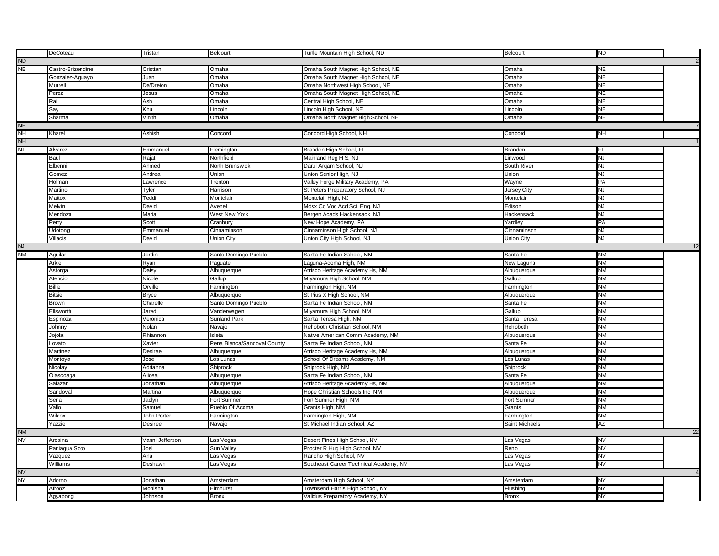|           |                   |                 |                             |                                        |                 | <b>ND</b> |    |  |
|-----------|-------------------|-----------------|-----------------------------|----------------------------------------|-----------------|-----------|----|--|
|           | DeCoteau          | Tristan         | Belcourt                    | Turtle Mountain High School, ND        | <b>Belcourt</b> |           |    |  |
| <b>ND</b> |                   |                 |                             |                                        |                 |           |    |  |
| NE        | Castro-Brizendine | Cristian        | Omaha                       | Omaha South Magnet High School, NE     | Omaha           | <b>NE</b> |    |  |
|           | Gonzalez-Aguayo   | Juan            | Omaha                       | Omaha South Magnet High School, NE     | Omaha           | NE        |    |  |
|           | Murrell           | Da'Dreion       | Omaha                       | Omaha Northwest High School, NE        | Omaha           | <b>NE</b> |    |  |
|           | Perez             | Jesus           | Omaha                       | Omaha South Magnet High School, NE     | Omaha           | NE        |    |  |
|           | ₹ai               | Ash             | Omaha                       | Central High School, NE                | Omaha           | NE        |    |  |
|           | Say               | Khu             | Lincoln                     | Lincoln High School, NE                | Lincoln         | NE        |    |  |
|           | Sharma            | Vinith          | Omaha                       | Omaha North Magnet High School, NE     | Omaha           | NE        |    |  |
| <b>NE</b> |                   |                 |                             |                                        |                 |           |    |  |
| <b>NH</b> | Kharel            | Ashish          | Concord                     | Concord High School, NH                | Concord         | NH        |    |  |
|           |                   |                 |                             |                                        |                 |           |    |  |
| <b>NH</b> |                   |                 |                             |                                        |                 |           |    |  |
| NJ        | Alvarez           | Emmanuel        | Flemington                  | Brandon High School, FL                | <b>Brandon</b>  | FL        |    |  |
|           | Baul              | Rajat           | Northfield                  | Mainland Reg H S, NJ                   | Linwood         | <b>NJ</b> |    |  |
|           | Elbenni           | Ahmed           | North Brunswick             | Darul Argam School, NJ                 | South River     | 7         |    |  |
|           | Gomez             | Andrea          | Union                       | Union Senior High, NJ                  | Union           | NJ        |    |  |
|           | Holman            | Lawrence        | Trenton                     | Valley Forge Military Academy, PA      | Wayne           | PA        |    |  |
|           | Martino           | Tyler           | Harrison                    | St Peters Preparatory School, NJ       | Jersey City     | NJ        |    |  |
|           | Mattox            | Teddi           | Montclair                   | Montclair High, NJ                     | Montclair       | ΝJ        |    |  |
|           | Melvin            | David           | Avenel                      | Mdsx Co Voc Acd Sci Eng, NJ            | Edison          | <b>NJ</b> |    |  |
|           | Mendoza           | Maria           | <b>West New York</b>        | Bergen Acads Hackensack, NJ            | Hackensack      | NJ        |    |  |
|           | Perry             | Scott           | Cranbury                    | New Hope Academy, PA                   | Yardley         | PA        |    |  |
|           | Udotong           | Emmanuel        | Cinnaminson                 |                                        | Cinnaminson     | <b>NJ</b> |    |  |
|           |                   |                 |                             | Cinnaminson High School, NJ            |                 |           |    |  |
|           | Villacis          | David           | Union City                  | Union City High School, NJ             | Union City      | ΝJ        |    |  |
| <b>NJ</b> |                   |                 |                             |                                        |                 |           | 12 |  |
| <b>NM</b> | Aguilar           | Jordin          | Santo Domingo Pueblo        | Santa Fe Indian School, NM             | Santa Fe        | <b>NM</b> |    |  |
|           | Arkie             | Ryan            | Paguate                     | Laguna-Acoma High, NM                  | New Laguna      | NM        |    |  |
|           | Astorga           | Daisy           | <b>Albuquerque</b>          | Atrisco Heritage Academy Hs, NM        | Albuquerque     | ΝM        |    |  |
|           | Atencio           | Nicole          | Gallup                      | Miyamura High School, NM               | Gallup          | <b>NM</b> |    |  |
|           | Billie            | Orville         | Farmington                  | Farmington High, NM                    | Farmington      | <b>NM</b> |    |  |
|           | <b>Bitsie</b>     | <b>Bryce</b>    | Albuquerque                 | St Pius X High School, NM              | Albuquerque     | <b>NM</b> |    |  |
|           | Brown             | Charelle        | Santo Domingo Pueblo        | Santa Fe Indian School, NM             | Santa Fe        | <b>NM</b> |    |  |
|           | <b>Ellsworth</b>  | Jared           | Vanderwagen                 | Miyamura High School, NM               | Gallup          | <b>NM</b> |    |  |
|           | Espinoza          | Veronica        | <b>Sunland Park</b>         | Santa Teresa High, NM                  | Santa Teresa    | <b>NM</b> |    |  |
|           | Johnny            | Nolan           | Navajo                      | Rehoboth Christian School, NM          | Rehoboth        | <b>NM</b> |    |  |
|           |                   | Rhiannon        | Isleta                      |                                        |                 | <b>NM</b> |    |  |
|           | lojola            |                 |                             | Native American Comm Academy, NM       | Albuquerque     |           |    |  |
|           | Lovato            | Xavier          | Pena Blanca/Sandoval County | Santa Fe Indian School, NM             | Santa Fe        | <b>NN</b> |    |  |
|           | Martinez          | Desirae         | Albuquerque                 | Atrisco Heritage Academy Hs, NM        | Albuquerque     | <b>NM</b> |    |  |
|           | Montoya           | Jose            | Los Lunas                   | School Of Dreams Academy, NM           | Los Lunas       | <b>NM</b> |    |  |
|           | Vicolay           | Adrianna        | Shiprock                    | Shiprock High, NM                      | Shiprock        | <b>NM</b> |    |  |
|           | Olascoaga         | Alicea          | Albuquerque                 | Santa Fe Indian School, NM             | Santa Fe        | <b>NM</b> |    |  |
|           | Salazar           | Jonathan        | Albuquerque                 | Atrisco Heritage Academy Hs, NM        | Albuquerque     | ИN        |    |  |
|           | Sandoval          | Martina         | Albuquerque                 | Hope Christian Schools Inc, NM         | Albuquerque     | <b>NM</b> |    |  |
|           | Sena              | Jaclyn          | Fort Sumner                 | Fort Sumner High, NM                   | Fort Sumner     | <b>NM</b> |    |  |
|           | Vallo             | Samuel          | Pueblo Of Acoma             | Grants High, NM                        | Grants          | <b>NM</b> |    |  |
|           | Wilcox            | John Porter     | Farmington                  | Farmington High, NM                    | Farmington      | ИN        |    |  |
|           | Yazzie            | Desiree         | Navajo                      | St Michael Indian School, AZ           | Saint Michaels  | ΑZ        |    |  |
|           |                   |                 |                             |                                        |                 |           |    |  |
| <b>NM</b> |                   |                 |                             |                                        |                 |           | 22 |  |
| <b>NV</b> | Arcaina           | Vanni Jefferson | Las Vegas                   | Desert Pines High School, NV           | Las Vegas       | NV        |    |  |
|           | Paniagua Soto     | Joel            | Sun Valley                  | Procter R Hug High School, NV          | Reno            | NV        |    |  |
|           | Vazquez           | Ana             | Las Vegas                   | Rancho High School, NV                 | Las Vegas       | ΝV        |    |  |
|           | Williams          | Deshawn         | Las Vegas                   | Southeast Career Technical Academy, NV | Las Vegas       | <b>NV</b> |    |  |
| <b>NV</b> |                   |                 |                             |                                        |                 |           |    |  |
| NY        | Adorno            | Jonathan        | Amsterdam                   | Amsterdam High School, NY              | Amsterdam       | NY        |    |  |
|           | Afrooz            | Monisha         | Elmhurst                    | Townsend Harris High School, NY        | Flushing        | <b>NY</b> |    |  |
|           | Agyapong          | Johnson         | <b>Bronx</b>                | Validus Preparatory Academy, NY        | <b>Bronx</b>    | <b>NY</b> |    |  |
|           |                   |                 |                             |                                        |                 |           |    |  |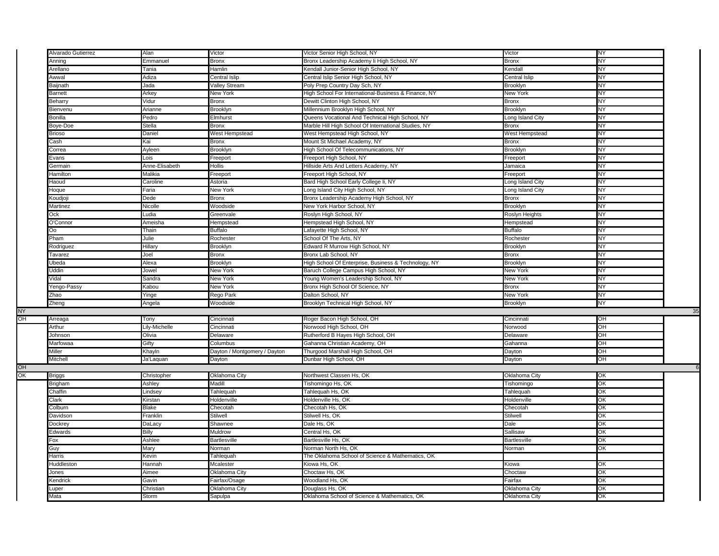| Alvarado Gutierrez | Alan               | Victor                         | Victor Senior High School, NY                        | Victor                   | NY        |
|--------------------|--------------------|--------------------------------|------------------------------------------------------|--------------------------|-----------|
| Anning             | Emmanuel           | <b>Bronx</b>                   | Bronx Leadership Academy li High School, NY          | Bronx                    | NΥ        |
| Arellano           | Tania              | Hamlin                         | Kendall Junior-Senior High School, NY                | Kendall                  | NY        |
| Awwal              | Adiza              | Central Islip                  | Central Islip Senior High School, NY                 | Central Islip            | NY        |
|                    |                    |                                |                                                      |                          | NY        |
| Baijnath           | Jada               | <b>Valley Stream</b>           | Poly Prep Country Day Sch, NY                        | Brooklyn                 |           |
| <b>Barnett</b>     | Arkey              | <b>New York</b>                | High School For International-Business & Finance, NY | <b>New York</b>          | NY        |
| Beharry            | Vidur              | <b>Bronx</b>                   | Dewitt Clinton High School, NY                       | Bronx                    | NY        |
| Bienvenu           | Arianne            | Brooklyn                       | Millennium Brooklyn High School, NY                  | Brooklyn                 | NΥ        |
| Bonilla            | Pedro              | Elmhurst                       | Queens Vocational And Technical High School, NY      | Long Island City         | NY        |
| Boye-Doe           | Stella             | <b>Bronx</b>                   | Marble Hill High School Of International Studies, NY | Bronx                    | <b>NY</b> |
| <b>Brioso</b>      | Daniel             | West Hempstead                 | West Hempstead High School, NY                       | West Hempstead           | ΝY        |
| Cash               | Kai                | <b>Bronx</b>                   | Mount St Michael Academy, NY                         | <b>Bronx</b>             | NΥ        |
| Correa             | Ayleen             | Brooklyn                       | High School Of Telecommunications, NY                | Brooklyn                 | <b>NY</b> |
| Evans              | Lois               | Freeport                       | Freeport High School, NY                             | Freeport                 | ΝY        |
| Germain            | Anne-Elisabeth     | Hollis                         | Hillside Arts And Letters Academy, NY                | Jamaica                  | NΥ        |
| Hamilton           | Malikia            | Freeport                       | Freeport High School, NY                             | Freeport                 | NY        |
|                    | Caroline           | Astoria                        | Bard High School Early College Ii, NY                |                          | NY        |
| Haoud              |                    |                                |                                                      | ong Island City          | NΥ        |
| Hoque              | Faria              | New York                       | Long Island City High School, NY                     | Long Island City         |           |
| Koudjoji           | Dede               | <b>Bronx</b>                   | Bronx Leadership Academy High School, NY             | <b>Bronx</b>             | NY        |
| Martinez           | Nicolle            | Woodside                       | New York Harbor School, NY                           | <b>Brooklyn</b>          | NΥ        |
| Ock                | Ludia              | Greenvale                      | Roslyn High School, NY                               | Roslyn Heights           | NΥ        |
| O'Connor           | Ameisha            | Hempstead                      | Hempstead High School, NY                            | Hempstead                | <b>NY</b> |
| Oo                 | Thain              | <b>Buffalo</b>                 | Lafayette High School, NY                            | <b>Buffalo</b>           | NY        |
| Pham               | Julie              | Rochester                      | School Of The Arts, NY                               | Rochester                | NΥ        |
| Rodriguez          | Hillary            | <b>Brooklyn</b>                | Edward R Murrow High School, NY                      | Brooklyn                 | NY        |
| Tavarez            | Joel               | <b>Bronx</b>                   | Bronx Lab School, NY                                 | <b>Bronx</b>             | NY        |
| Ubeda              | Alexa              | Brooklyn                       | High School Of Enterprise, Business & Technology, NY | <b>Brooklyn</b>          | NΥ        |
| Uddin              | Jowel              | New York                       | Baruch College Campus High School, NY                | New York                 | ΝY        |
| Vidal              | Sandra             | New York                       | Young Women's Leadership School, NY                  | New York                 | NY        |
|                    |                    |                                |                                                      |                          |           |
| Yengo-Passy        | Kabou              | New York                       | Bronx High School Of Science, NY                     | Bronx                    | NΥ        |
| Zhao               | Yinge              | Rego Park                      | Dalton School, NY                                    | New York                 | ΝY        |
| Zheng              | Angela             | Woodside                       | Brooklyn Technical High School, NY                   | Brooklyn                 | NY        |
|                    |                    |                                |                                                      |                          |           |
| Arreaga            | Tony               | Cincinnati                     | Roger Bacon High School, OH                          | Cincinnat                |           |
| Arthur             |                    |                                |                                                      |                          | OH        |
|                    | Lily-Michelle      | Cincinnati                     | Norwood High School, OH                              | Norwood                  | OН        |
| Johnson            | Olivia             | Delaware                       | Rutherford B Hayes High School, OH                   | Delaware                 | OH        |
| Marfowaa           | Gifty              | Columbus                       | Gahanna Christian Academy, OH                        | Gahanna                  | ÓH        |
| Miller             |                    |                                |                                                      |                          |           |
|                    | Khayln             | Dayton / Montgomery / Dayton   | Thurgood Marshall High School, OH                    | Dayton                   | OH        |
| Mitchell           | Ja'Laquan          | Dayton                         | Dunbar High School, OH                               | Dayton                   | OH        |
|                    |                    |                                |                                                      |                          |           |
| <b>Briggs</b>      | Christopher        | Oklahoma City                  | Northwest Classen Hs, OK                             | Oklahoma City            | ЮK        |
| Brigham            | Ashley             | Madill                         | Tishomingo Hs, OK                                    | Tishomingo               | OK        |
| Chaffin            | Lindsey            | Tahlequah                      | Tahlequah Hs, OK                                     | Tahlequah                | OK        |
| Clark              | Kirstan            | Holdenville                    | Holdenville Hs, OK                                   | Holdenville              | ОК        |
| Colburn            | Blake              | Checotah                       | Checotah Hs. OK                                      | Checotah                 | OK        |
| Davidson           | Franklin           | <b>Stilwell</b>                | Stilwell Hs, OK                                      | <b>Stilwell</b>          | QK        |
| Dockrey            | DaLacy             | Shawnee                        | Dale Hs, OK                                          | Dale                     | QK        |
| Edwards            | Billy              | Muldrow                        | Central Hs, OK                                       | Sallisaw                 | OK        |
| Fox                | Ashlee             | <b>Bartlesville</b>            | Bartlesville Hs, OK                                  |                          | OK        |
|                    |                    |                                |                                                      | <b>Bartlesville</b>      |           |
| Guy                | Mary               | Norman                         | Norman North Hs, OK                                  | Norman                   | QK        |
| Harris             | Kevin              | Tahleguah                      | The Oklahoma School of Science & Mathematics, OK     |                          |           |
| Huddleston         | Hannah             | Mcalester                      | Kiowa Hs, OK                                         | Kiowa                    | ОK        |
| Jones              | Aimee              | Oklahoma City                  | Choctaw Hs, OK                                       | Choctaw                  | QK        |
| Kendrick<br>Luper  | Gavin<br>Christian | Fairfax/Osage<br>Oklahoma City | Woodland Hs, OK<br>Douglass Hs, OK                   | Fairfax<br>Oklahoma City | OK<br>OK  |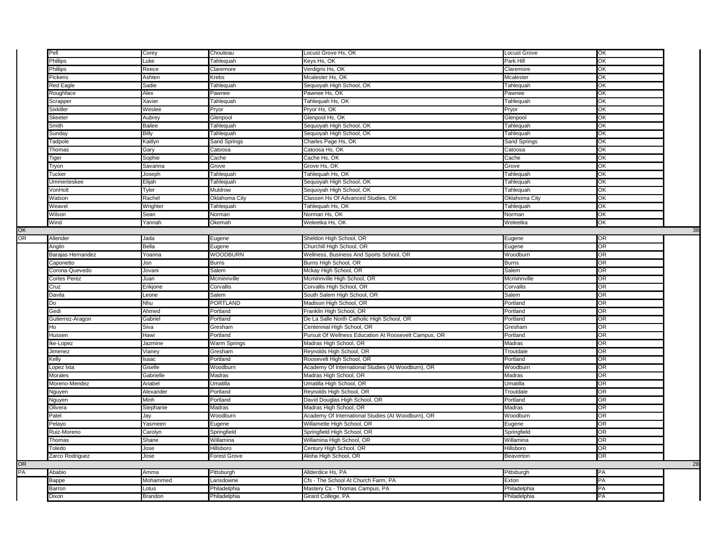|    | Pell                | Corey            | Chouteau            | Locust Grove Hs, OK                                   | Locust Grove  | ЮK        |    |
|----|---------------------|------------------|---------------------|-------------------------------------------------------|---------------|-----------|----|
|    | Phillips            | Luke             | Tahlequah           | Keys Hs, OK                                           | Park Hill     | OK        |    |
|    | <b>Phillips</b>     | Reece            | Claremore           | Verdigris Hs, OK                                      | Claremore     | OK        |    |
|    | Pickens             | Ashten           | Krebs               | Mcalester Hs, OK                                      | Mcalester     | OK        |    |
|    | Red Eagle           | Sadie            | Tahlequah           | Sequoyah High School, OK                              | Tahlequah     | ЮK        |    |
|    | Roughface           | Alex             | Pawnee              | Pawnee Hs, OK                                         | Pawnee        | OK        |    |
|    | Scrapper            | Xavier           | Tahlequah           | Tahlequah Hs, OK                                      | Tahlequah     | OK        |    |
|    | Sixkiller           | Weslee           | Pryor               | Pryor Hs, OK                                          | Pryor         | OK        |    |
|    | Skeeter             | Aubrey           | Glenpool            | Glenpool Hs, OK                                       | Glenpool      | OK        |    |
|    | Smith               | Bailee           | Tahlequah           | Sequoyah High School, OK                              | Tahlequah     | OK        |    |
|    | Sunday              | Billy            | Tahlequah           | Sequoyah High School, OK                              | Tahlequah     | OK        |    |
|    | Tadpole             | <b>Kaitlyn</b>   | Sand Springs        | Charles Page Hs, OK                                   | Sand Springs  | ОK        |    |
|    | Thomas              | Gary             | Catoosa             | Catoosa Hs, OK                                        | Catoosa       | OK        |    |
|    | Tiger               | Sophie           | Cache               | Cache Hs, OK                                          | Cache         | ЮK        |    |
|    | Tryon               | Savanna          | Grove               | Grove Hs, OK                                          | Grove         | OK        |    |
|    | Tucker              | Joseph           | Tahlequah           | Tahlequah Hs, OK                                      | Tahlequah     | QK        |    |
|    | Ummerteskee         | Elijah           | Tahlequah           | Sequoyah High School, OK                              | Tahlequah     | ЮK        |    |
|    | VonHolt             | Tyler            | Muldrow             | Sequoyah High School, OK                              | Tahlequah     | OK        |    |
|    | Watson              | Rachel           | Oklahoma City       | Classen Hs Of Advanced Studies, OK                    | Oklahoma City | OK        |    |
|    | Weavel              | Wrighter         | Tahlequah           | Tahlequah Hs, OK                                      | Tahlequah     | ЮK        |    |
|    | Wilson              | Sean             | Norman              | Norman Hs, OK                                         | Norman        | OK        |    |
|    | Wind                | Yannah           | Okemah              | Weleetka Hs, OK                                       | Weleetka      | ЮK        |    |
| OK |                     |                  |                     |                                                       |               |           | 38 |
| OR | Allender            | Jada             | Eugene              | Sheldon High School, OR                               | Eugene        | OR        |    |
|    | Anglin              | Bella            | Eugene              | Churchill High School, OR                             | Eugene        | OR        |    |
|    | Barajas Hernandez   | roanna           | WOODBURN            | Wellness, Business And Sports School, OR              | Woodburn      | <b>OR</b> |    |
|    | Caponetto           | Jon              | <b>Burns</b>        | Burns High School, OR                                 | <b>Burns</b>  | OR        |    |
|    | Corona-Quevedo      | Jovani           | Salem               | Mckay High School, OR                                 | Salem         | OR        |    |
|    | <b>Cortes Perez</b> | Juan             | Mcminnville         | Mcminnville High School, OR                           | Mcminnville   | <b>OR</b> |    |
|    | Cruz                | Erikjone         | Corvallis           | Corvallis High School, OR                             | Corvallis     | OR        |    |
|    | Davila              | Leone            | Salem               | South Salem High School, OR                           | Salem         | <b>OR</b> |    |
|    | Do                  | Nhu              | PORTLAND            | Madison High School, OR                               | Portland      | <b>OR</b> |    |
|    | Gedi                | Ahmed            | Portland            | Franklin High School, OR                              | Portland      | <b>OR</b> |    |
|    | Gutierrez-Aragon    | Gabriel          | Portland            | De La Salle North Catholic High School, OR            | Portland      | OR        |    |
|    | Ho                  | Siva             | Gresham             | Centennial High School, OR                            | Gresham       | OR        |    |
|    | Hussen              | Hawi             | Portland            | Pursuit Of Wellness Education At Roosevelt Campus, OR | Portland      | <b>OR</b> |    |
|    | Ike-Lopez           | Jazmine          | Warm Springs        | Madras High School, OR                                | Madras        | OR        |    |
|    | Jimenez             | Vianey           | Gresham             | Reynolds High School, OR                              | Troutdale     | <b>OR</b> |    |
|    | Kelly               | saac             | Portland            | Roosevelt High School, OR                             | Portland      | <b>OR</b> |    |
|    | Lopez Ixta          | Giselle          | Woodburn            | Academy Of International Studies (At Woodburn), OR    | Woodburn      | OR        |    |
|    | Morales             | <b>Gabrielle</b> | Madras              | Madras High School, OR                                | Madras        | OR        |    |
|    | Moreno-Mendez       | Anabel           | Umatilla            | Umatilla High School, OR                              | Umatilla      | <b>OR</b> |    |
|    | Nguyen              | Alexander        | Portland            | Reynolds High School, OR                              | Troutdale     | OR        |    |
|    | Nguyen              | Minh             | Portland            | David Douglas High School, OR                         | Portland      | OR        |    |
|    | Olivera             | Stephanie        | Madras              | Madras High School, OR                                | Madras        | <b>OR</b> |    |
|    | Patel               | Jay              | Woodburn            | Academy Of International Studies (At Woodburn), OR    | Woodburn      | OR        |    |
|    | Pelayo              | Yasmeen          | Eugene              | Willamette High School, OR                            | Eugene        | OR        |    |
|    | Ruiz-Moreno         | Carolyn          | Springfield         | Springfield High School, OR                           | Springfield   | OR        |    |
|    | Thomas              | Shane            | Willamina           | Willamina High School, OR                             | Willamina     | OR        |    |
|    | Toledo              | Jose             | Hillsboro           | Century High School, OR                               | Hillsboro     | <b>OR</b> |    |
|    | Zarco Rodriguez     | Jose             | <b>Forest Grove</b> | Aloha High School, OR                                 | Beaverton     | OR        |    |
| OR |                     |                  |                     |                                                       |               |           | 28 |
| PA | Ababio              | Amma             | Pittsburgh          | Allderdice Hs, PA                                     | Pittsburgh    | PA        |    |
|    | Bappe               | Mohammed         | _ansdowne           | Cfs - The School At Church Farm, PA                   | Exton         | PA        |    |
|    | Barron              | Lotus            | Philadelphia        | Mastery Cs - Thomas Campus, PA                        | Philadelphia  | PA        |    |
|    | Dixon               | Brandon          | Philadelphia        | Girard College, PA                                    | Philadelphia  | PA        |    |
|    |                     |                  |                     |                                                       |               |           |    |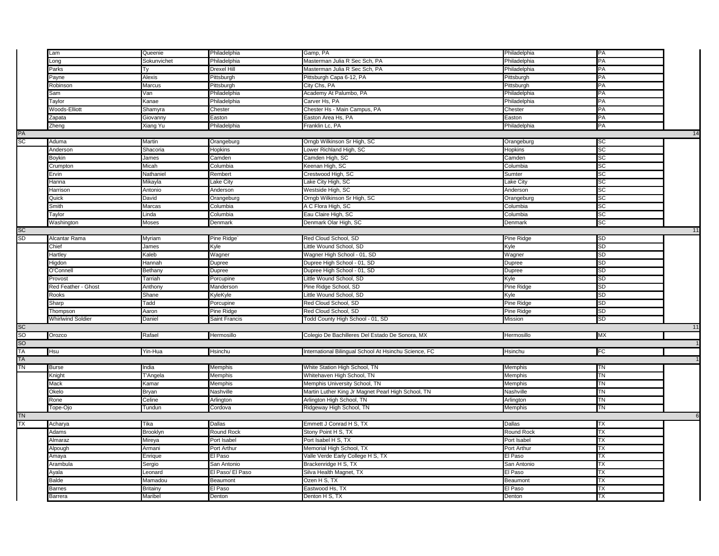|                                  | _am                      | Queenie             | Philadelphia      | Gamp, PA                                              | Philadelphia      | PA        |    |
|----------------------------------|--------------------------|---------------------|-------------------|-------------------------------------------------------|-------------------|-----------|----|
|                                  | Long                     | Sokunvichet         | Philadelphia      | Masterman Julia R Sec Sch, PA                         | Philadelphia      | PA        |    |
|                                  | Parks                    | Тy                  | Drexel Hill       | Masterman Julia R Sec Sch, PA                         | Philadelphia      | PA        |    |
|                                  | Payne                    | Alexis              | Pittsburgh        | Pittsburgh Capa 6-12, PA                              | Pittsburgh        | PA        |    |
|                                  | Robinson                 | Marcus              | Pittsburgh        | City Chs, PA                                          | Pittsburgh        | PA        |    |
|                                  | Sam                      | Van                 | Philadelphia      | Academy At Palumbo, PA                                | Philadelphia      | PA        |    |
|                                  | Taylor                   | Kanae               | Philadelphia      | Carver Hs, PA                                         | Philadelphia      | PA        |    |
|                                  | Woods-Elliott            | Shamyra             | Chester           | Chester Hs - Main Campus, PA                          | Chester           | PA        |    |
|                                  | Zapata                   | Giovanny            | Easton            | Easton Area Hs, PA                                    | Easton            | PA        |    |
|                                  | Zheng                    | Xiang Yu            | Philadelphia      | Franklin Lc, PA                                       | Philadelphia      | PA        |    |
| PA<br>SC                         |                          |                     |                   |                                                       |                   |           | 14 |
|                                  | Aduma                    | Martin              | Orangeburg        | Orngb Wilkinson Sr High, SC                           | Orangeburg        | <b>SC</b> |    |
|                                  | Anderson                 | Shacoria            | Hopkins           | Lower Richland High, SC                               | Hopkins           | <b>SC</b> |    |
|                                  | Boykin                   | James               | Camden            | Camden High, SC                                       | Camden            | <b>SC</b> |    |
|                                  | Crumpton                 | Micah               | Columbia          | Keenan High, SC                                       | Columbia          | SC        |    |
|                                  | Ervin                    | Nathaniel           | Rembert           | Crestwood High, SC                                    | Sumter            | <b>SC</b> |    |
|                                  | Hanna                    | Mikayla             | Lake City         | Lake City High, SC                                    | Lake City         | <b>SC</b> |    |
|                                  | Harrison                 | Antonio             | Anderson          | Westside High, SC                                     | Anderson          | SC        |    |
|                                  | Quick                    | David               | Orangeburg        | Orngb Wilkinson Sr High, SC                           | Orangeburg        | SC        |    |
|                                  | Smith                    | Marcas              | Columbia          | A C Flora High, SC                                    | Columbia          | <b>SC</b> |    |
|                                  | Taylor                   | Linda               | Columbia          | Eau Claire High, SC                                   | Columbia          | SC        |    |
|                                  | Washington               | Moses               | Denmark           | Denmark Olar High, SC                                 | Denmark           | SC        |    |
|                                  |                          |                     |                   |                                                       |                   |           | 11 |
| SC<br>SD                         | Alcantar Rama            | Myriam              | Pine Ridge        | Red Cloud School, SD                                  | Pine Ridge        | <b>SD</b> |    |
|                                  | Chief                    | James               | Kyle              | Little Wound School, SD                               | Kyle              | SD        |    |
|                                  | Hartley                  | Kaleb               | Wagner            | Wagner High School - 01, SD                           | Wagner            | <b>SD</b> |    |
|                                  | Higdon                   | Hannah              | Dupree            | Dupree High School - 01, SD                           | Dupree            | SD        |    |
|                                  | O'Connell                | Bethany             | Dupree            | Dupree High School - 01, SD                           | Dupree            | SD        |    |
|                                  | Provost                  | Tarriah             | Porcupine         | Little Wound School, SD                               | Kyle              | SD        |    |
|                                  | Red Feather - Ghost      | Anthony             | Manderson         | Pine Ridge School, SD                                 | Pine Ridge        | SD        |    |
|                                  | <b>Rooks</b>             | Shane               | KyleKyle          | Little Wound School, SD                               | Kyle              | <b>SD</b> |    |
|                                  | Sharp                    | Tadd                | Porcupine         | Red Cloud School, SD                                  | Pine Ridge        | <b>SD</b> |    |
|                                  | Thompson                 | Aaron               | Pine Ridge        | Red Cloud School, SD                                  | Pine Ridge        | SD        |    |
|                                  | <b>Whirlwind Soldier</b> | Daniel              | Saint Francis     | Todd County High School - 01, SD                      | <b>Mission</b>    | <b>SD</b> |    |
|                                  |                          |                     |                   |                                                       |                   |           | 11 |
|                                  | Orozco                   | Rafael              | Hermosillo        | Colegio De Bachilleres Del Estado De Sonora, MX       | Hermosillo        | МX        |    |
|                                  |                          |                     |                   |                                                       |                   |           |    |
|                                  | Hsu                      | Yin-Hua             | Hsinchu           | International Bilingual School At Hsinchu Science, FC | Hsinchu           | FC        |    |
|                                  |                          |                     |                   |                                                       |                   |           |    |
| SC<br>SO<br>SO<br>TA<br>TA<br>TN | <b>Burse</b>             | India               | Memphis           | White Station High School, TN                         | <b>Memphis</b>    | TN        |    |
|                                  | Knight                   | T'Angela            | Memphis           | Whitehaven High School, TN                            | Memphis           | TN        |    |
|                                  | Mack                     | Kamar               | Memphis           | Memphis University School, TN                         | Memphis           | <b>TN</b> |    |
|                                  | Okelo                    |                     | Nashville         |                                                       | Nashville         | TN        |    |
|                                  |                          | Bryan               |                   | Martin Luther King Jr Magnet Pearl High School, TN    |                   |           |    |
|                                  | Rone                     | Celine              | Arlington         | Arlington High School, TN                             | Arlington         | TN<br>TN  |    |
|                                  | Tope-Ojo                 | Tundun              | Cordova           | Ridgeway High School, TN                              | Memphis           |           |    |
| TN<br>TX                         |                          |                     |                   |                                                       |                   |           | 6  |
|                                  | Acharya                  | Tika                | <b>Dallas</b>     | Emmett J Conrad H S, TX                               | <b>Dallas</b>     | ТX        |    |
|                                  | Adams                    | Brooklyn            | <b>Round Rock</b> | Stony Point H S, TX                                   | Round Rock        | ТX        |    |
|                                  | Almaraz                  | Mireya              | Port Isabel       | Port Isabel H S, TX                                   | Port Isabel       | TX        |    |
|                                  | Alpough                  | Armani              | Port Arthur       | Memorial High School, TX                              | Port Arthur       | ТX        |    |
|                                  | Amaya                    | Enrique             | El Paso           | Valle Verde Early College H S, TX                     | El Paso           | ТX        |    |
|                                  | Arambula                 | Sergio              | San Antonio       | Brackenridge H S, TX                                  | San Antonio       | TX        |    |
|                                  | Ayala                    | Leonard             | El Paso/ El Paso  | Silva Health Magnet, TX                               | El Paso           | ТX        |    |
|                                  |                          |                     |                   |                                                       |                   |           |    |
|                                  | Balde                    | Mamadou             | Beaumont          | Ozen H S, TX                                          | Beaumont          | ТX        |    |
|                                  | Barnes<br>Barrera        | Britainv<br>Maribel | El Paso<br>Denton | Eastwood Hs, TX<br>Denton H S, TX                     | El Paso<br>Denton | ТX<br>TХ  |    |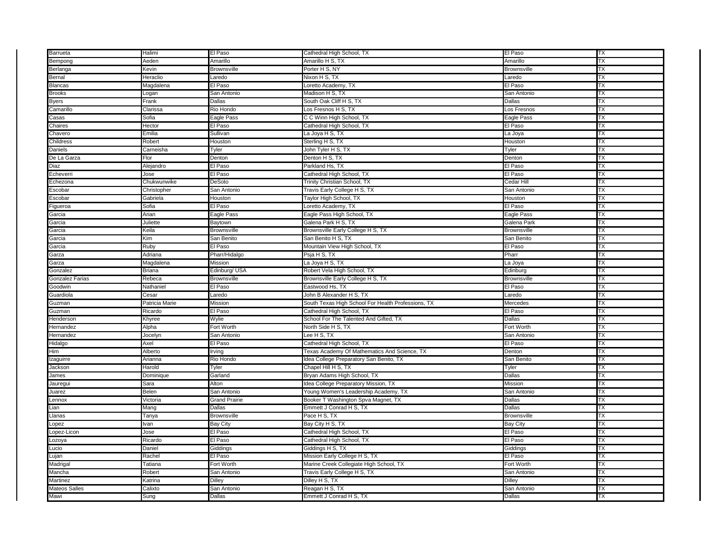| Barrueta                     | Halimi          | El Paso                      | Cathedral High School, TX                          | El Paso                      | ТX        |
|------------------------------|-----------------|------------------------------|----------------------------------------------------|------------------------------|-----------|
| Bempong                      | Aeden           | Amarillo                     | Amarillo H S, TX                                   | Amarillo                     | TХ        |
| Berlanga                     | Kevin           | Brownsville                  | Porter H S, NY                                     | <b>Brownsville</b>           | TХ        |
| Bernal                       | Heraclio        | Laredo                       | Nixon H S, TX                                      | Laredo                       | ТX        |
| <b>Blancas</b>               | Magdalena       | El Paso                      | Loretto Academy, TX                                | El Paso                      | TХ        |
| <b>Brooks</b>                | Logan           | San Antonio                  | Madison H S, TX                                    | San Antonio                  | TХ        |
| <b>Byers</b>                 | Frank           | Dallas                       | South Oak Cliff H S, TX                            | Dallas                       | ТX        |
| Camarillo                    | Clarissa        | Rio Hondo                    | Los Fresnos H S. TX                                | Los Fresnos                  | TХ        |
| Casas                        | Sofia           | Eagle Pass                   | C C Winn High School, TX                           | <b>Eagle Pass</b>            | ТX        |
| Chaires                      | Hector          | El Paso                      | Cathedral High School, TX                          | El Paso                      | TХ        |
| Chavero                      | Emilia          | Sullivan                     | La Joya H S, TX                                    | La Joya                      | TХ        |
| Childress                    | Robert          | Houston                      | Sterling H S, TX                                   | Houston                      | ТX        |
| Daniels                      | Carneisha       | Tyler                        | John Tyler H S, TX                                 | Tyler                        | ТX        |
| De La Garza                  | Flor            | Denton                       | Denton H S, TX                                     | Denton                       | ТX        |
| Diaz                         | Alejandro       | El Paso                      | Parkland Hs, TX                                    | El Paso                      | ТX        |
| Echeverri                    | Jose            | El Paso                      | Cathedral High School, TX                          | El Paso                      | ТX        |
| Echezona                     | Chukwunwike     | DeSoto                       | Trinity Christian School, TX                       | Cedar Hill                   | ТX        |
| Escobar                      | Christopher     | San Antonio                  | Travis Early College H S, TX                       | San Antonic                  | ТX        |
| Escobar                      | Gabriela        | Houston                      | Taylor High School, TX                             | Houston                      | ТX        |
| Figueroa                     | Sofia           | El Paso                      | Loretto Academy, TX                                | El Paso                      | ТX        |
| Garcia                       | Arian           | Eagle Pass                   | Eagle Pass High School, TX                         | Eagle Pass                   | TΧ        |
| Garcia                       | Juliette        | Baytown                      | Galena Park H S, TX                                | Galena Parl                  | ТX        |
| Garcia                       | Keila           | Brownsville                  | Brownsville Early College H S, TX                  | <b>Brownsville</b>           | ТX        |
| Garcia                       | Kim             | San Benito                   | San Benito H S, TX                                 | San Benito                   | ТX        |
| Garcia                       | Ruby            | El Paso                      | Mountain View High School, TX                      | El Paso                      | ТX        |
| Garza                        | Adriana         | Pharr/Hidalgo                | Psja H S, TX                                       | Pharr                        | ТX        |
| Garza                        | Magdalena       | Mission                      | La Joya H S, TX                                    | La Joya                      | TΧ        |
| Gonzalez                     | Briana          | Edinburg/ USA                | Robert Vela High School, TX                        | Edinburg                     | TХ        |
| Gonzalez Farias              | Rebeca          | <b>Brownsville</b>           | Brownsville Early College H S, TX                  | <b>Brownsville</b>           | TХ        |
| Goodwin                      | Nathaniel       | El Paso                      | Eastwood Hs, TX                                    | El Paso                      | ТX        |
|                              |                 |                              |                                                    |                              |           |
|                              |                 |                              |                                                    |                              |           |
| Guardiola                    | Cesar           | Laredo                       | John B Alexander H S, TX                           | Laredo                       | ТX        |
| Guzman                       | Patricia Marie  | Mission                      | South Texas High School For Health Professions, TX | Mercedes                     | TХ        |
| Guzman                       | Ricardo         | El Paso                      | Cathedral High School, TX                          | El Paso                      | ТX        |
| Henderson                    | Khyree          | Wylie                        | School For The Talented And Gifted, TX             | Dallas                       | TХ        |
| Hernandez                    | Alpha           | Fort Worth                   | North Side H S, TX                                 | Fort Worth                   | TХ        |
| Hernandez                    | Jocelyn         | San Antonio                  | Lee H S, TX                                        | San Antonio                  | ТX        |
| Hidalgo                      | Axel            | El Paso                      | Cathedral High School, TX                          | El Paso                      | TХ        |
| Him                          | Alberto         | Irving                       | Texas Academy Of Mathematics And Science, TX       | Denton                       | TХ        |
| Izaquirre                    | Arianna         | Rio Hondo                    | Idea College Preparatory San Benito, TX            | San Benito                   | ТX        |
| Jackson                      | Harold          | Tyler                        | Chapel Hill H S, TX                                | Tyler                        | TХ        |
| James                        | Dominique       | Garland                      | Bryan Adams High School, TX                        | Dallas                       | TХ        |
| Jaurequi                     | Sara            | Alton                        | Idea College Preparatory Mission, TX               | Mission                      | ТX        |
| Juarez                       | Belen           | San Antonio                  | Young Women's Leadership Academy, TX               | San Antonio                  | TХ        |
| Lennox                       | Victoria        | <b>Grand Prairie</b>         | Booker T Washington Spva Magnet, TX                | Dallas                       | TХ        |
| Lian                         | Mang            | Dallas                       | Emmett J Conrad H S, TX                            | Dallas                       | ТX        |
| Llanas                       | Tanya           | <b>Brownsville</b>           | Pace H S, TX                                       | <b>Brownsville</b>           | ТX        |
| Lopez                        | Ivan            | <b>Bay City</b>              | Bay City H S, TX                                   | <b>Bay City</b>              | TΧ        |
| Lopez-Licon                  | Jose            | El Paso                      | Cathedral High School, TX                          | El Paso                      | ТX        |
| Lozoya                       | Ricardo         | El Paso                      | Cathedral High School, TX                          | El Paso                      | <b>TX</b> |
| Lucio                        | Daniel          | Giddings                     | Giddings H S, TX                                   | Giddings                     | TХ        |
| Lujan                        | Rachel          | El Paso                      | Mission Early College H S, TX                      | El Paso                      | ТX        |
| Madrigal                     | Tatiana         | Fort Worth                   | Marine Creek Collegiate High School, TX            | Fort Worth                   | ТX        |
| Mancha                       | Robert          | San Antonio                  | Travis Early College H S, TX                       | San Antonio                  | TХ        |
| Martinez                     | Katrina         | Dilley                       | Dilley H S, TX                                     | Dilley                       | TХ        |
| <b>Mateos Salles</b><br>Mawi | Calixto<br>Sung | San Antonio<br><b>Dallas</b> | Reagan H S, TX<br>Emmett J Conrad H S, TX          | San Antonio<br><b>Dallas</b> | ТX<br>TХ  |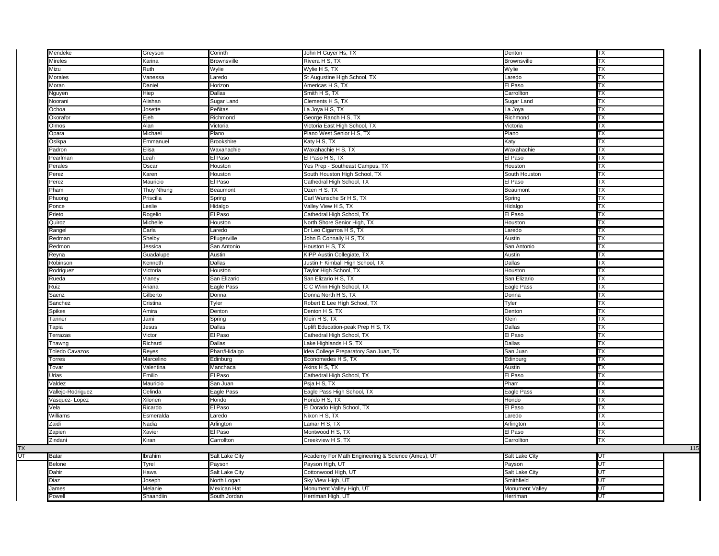| Mendeke           | Greyson                                                                                                              | Corinth            | John H Guyer Hs, TX                               | Denton             | TX        |     |
|-------------------|----------------------------------------------------------------------------------------------------------------------|--------------------|---------------------------------------------------|--------------------|-----------|-----|
| Mireles           | Karina                                                                                                               | <b>Brownsville</b> | Rivera H S, TX                                    | <b>Brownsville</b> | ТX        |     |
| Mizu              | रेuth                                                                                                                | Wylie              | Wylie H S, TX                                     | Wylie              | ТX        |     |
| Morales           | /anessa                                                                                                              | Laredo             | St Augustine High School, TX                      | Laredo             | TX        |     |
| Moran             | Daniel                                                                                                               | Horizon            | Americas H S, TX                                  | El Paso            | ТX        |     |
| Nguyen            | Hiep                                                                                                                 | <b>Dallas</b>      | Smith H S, TX                                     | Carrollton         | TX        |     |
| Noorani           | Alishan                                                                                                              | Sugar Land         | Clements H S, TX                                  | Sugar Land         | TX        |     |
| Ochoa             | Josette                                                                                                              | Peñitas            | La Joya H S, TX                                   | La Joya            | ТX        |     |
| Okorafor          | Ejeh                                                                                                                 | Richmond           | George Ranch H S, TX                              | Richmond           | TX        |     |
| Olmos             | Alan                                                                                                                 | Victoria           | Victoria East High School, TX                     | Victoria           | TX        |     |
| Opara             | Michael                                                                                                              | Plano              | Plano West Senior H S, TX                         | Plano              | ТX        |     |
| Osikpa            | Emmanuel                                                                                                             | <b>Brookshire</b>  | Katy H S, TX                                      | Katy               | TX        |     |
| Padron            | Elisa                                                                                                                | Waxahachie         | Waxahachie H S, TX                                | Waxahachie         | TX        |     |
| Pearlman          | Leah                                                                                                                 | El Paso            | El Paso H S, TX                                   | El Paso            | TX        |     |
| Perales           | Oscar                                                                                                                | Houston            | Yes Prep - Southeast Campus, TX                   | Houston            | TX        |     |
| Perez             | Karen                                                                                                                | Houston            | South Houston High School, TX                     | South Houston      | TX        |     |
| Perez             | Mauricio                                                                                                             | El Paso            | Cathedral High School, TX                         | El Paso            | <b>TX</b> |     |
| Pham              |                                                                                                                      | Beaumont           | Ozen H S, TX                                      | Beaumont           | ТX        |     |
|                   | Thuy Nhung<br>Priscilla                                                                                              |                    |                                                   |                    | TX        |     |
| Phuong            |                                                                                                                      | Spring             | Carl Wunsche Sr H S, TX                           | Spring             |           |     |
| Ponce             | eslie.                                                                                                               | Hidalgo            | Valley View H S, TX                               | Hidalgo            | ТX        |     |
| Prieto            | Rogelio                                                                                                              | El Paso            | Cathedral High School, TX                         | El Paso            | ТX        |     |
| Quiroz            | Michelle                                                                                                             | Houston            | North Shore Senior High, TX                       | Houston            | TX        |     |
| Rangel            | Carla                                                                                                                | Laredo             | Dr Leo Cigarroa H S, TX                           | Laredo             | ТX        |     |
| Redman            | Shelby                                                                                                               | Pflugerville       | John B Connally H S, TX                           | Austin             | ТX        |     |
| Redmon            | Jessica                                                                                                              | San Antonio        | Houston H S, TX                                   | San Antonio        | TX        |     |
| Reyna             | <b>Guadalupe</b>                                                                                                     | Austin             | KIPP Austin Collegiate, TX                        | Austin             | ТX        |     |
| Robinson          | <enneth< td=""><td>Dallas</td><td>Justin F Kimball High School, TX</td><td>Dallas</td><td>ТX</td><td></td></enneth<> | Dallas             | Justin F Kimball High School, TX                  | Dallas             | ТX        |     |
| Rodriguez         | Victoria                                                                                                             | Houston            | Taylor High School, TX                            | Houston            | TX        |     |
| Rueda             | /ianey                                                                                                               | San Elizario       | San Elizario H S, TX                              | San Elizario       | TX        |     |
| Ruiz              | Ariana                                                                                                               | Eagle Pass         | C C Winn High School, TX                          | <b>Eagle Pass</b>  | ТX        |     |
| Saenz             | Gilberto                                                                                                             | Donna              | Donna North H S, TX                               | Donna              | TX        |     |
| Sanchez           | Cristina                                                                                                             | Tyler              | Robert E Lee High School, TX                      | Tyler              | TX        |     |
| <b>Spikes</b>     | Amira                                                                                                                | Denton             | Denton H S, TX                                    | Denton             | TX        |     |
| Tanner            | Jami                                                                                                                 | Spring             | Klein H S, TX                                     | Klein              | TX        |     |
| Tapia             | Jesus                                                                                                                | Dallas             | Uplift Education-peak Prep H S, TX                | Dallas             | ТX        |     |
| Terrazas          | Victor                                                                                                               | El Paso            | Cathedral High School, TX                         | El Paso            | ТX        |     |
| Thawng            | Richard                                                                                                              | Dallas             | Lake Highlands H S, TX                            | Dallas             | TX        |     |
| Toledo Cavazos    | Reyes                                                                                                                | Pharr/Hidalgo      | Idea College Preparatory San Juan, TX             | San Juan           | TX        |     |
| Torres            | Marcelino                                                                                                            | Edinburg           | Economedes H S, TX                                | Edinburg           | TX        |     |
| Tovar             | Valentina                                                                                                            | Manchaca           | Akins H S, TX                                     | Austin             | TX        |     |
| Urias             | Emilio                                                                                                               | El Paso            | Cathedral High School, TX                         | El Paso            | ТX        |     |
|                   |                                                                                                                      |                    |                                                   | Pharr              |           |     |
| Valdez            | Mauricio                                                                                                             | San Juan           | Psja H S, TX                                      |                    | ТX        |     |
| Vallejo-Rodriguez | Celinda                                                                                                              | Eagle Pass         | Eagle Pass High School, TX                        | Eagle Pass         | ТX        |     |
| Vasquez-Lopez     | Xilonen                                                                                                              | Hondo              | Hondo H S, TX                                     | Hondo              | ТX        |     |
| Vela              | Ricardo                                                                                                              | El Paso            | El Dorado High School, TX                         | El Paso            | ТX        |     |
| Williams          | Esmeralda                                                                                                            | Laredo             | Nixon H S, TX                                     | Laredo             | TX        |     |
| Zaidi             | Nadia                                                                                                                | Arlington          | Lamar H S, TX                                     | Arlington          | ТX        |     |
| Zapien            | Xavier                                                                                                               | El Paso            | Montwood H S, TX                                  | El Paso            | ТX        |     |
| Zindani           | Kiran                                                                                                                | Carrollton         | Creekview H S, TX                                 | Carrollton         | TX        |     |
|                   |                                                                                                                      |                    |                                                   |                    |           | 115 |
| Batar             | Ibrahim                                                                                                              | Salt Lake City     | Academy For Math Engineering & Science (Ames), UT | Salt Lake City     | E         |     |
| Belone            | Tyrel                                                                                                                | Payson             | Payson High, UT                                   | Payson             | UT        |     |
| Dahir             | <b>Hawa</b>                                                                                                          | Salt Lake City     | Cottonwood High, UT                               | Salt Lake City     | UT        |     |
| Diaz              | Joseph                                                                                                               | North Logan        | Sky View High, UT                                 | Smithfield         | UT        |     |
| James             | Melanie                                                                                                              | Mexican Hat        | Monument Valley High, UT                          | Monument Valley    | UT        |     |
| Powell            | Shaandiin                                                                                                            | South Jordan       | Herriman High, UT                                 | Herriman           | UT        |     |
|                   |                                                                                                                      |                    |                                                   |                    |           |     |